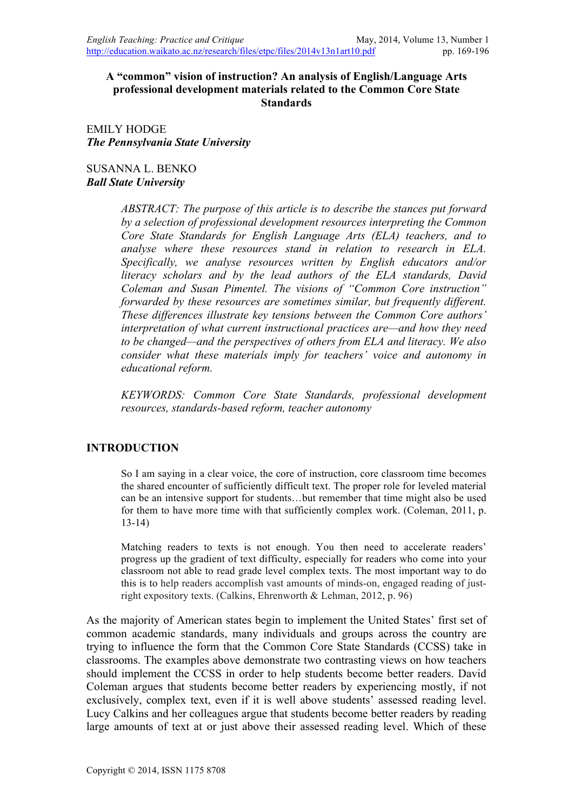## **A "common" vision of instruction? An analysis of English/Language Arts professional development materials related to the Common Core State Standards**

EMILY HODGE *The Pennsylvania State University*

SUSANNA L. BENKO *Ball State University*

> *ABSTRACT: The purpose of this article is to describe the stances put forward by a selection of professional development resources interpreting the Common Core State Standards for English Language Arts (ELA) teachers, and to analyse where these resources stand in relation to research in ELA. Specifically, we analyse resources written by English educators and/or literacy scholars and by the lead authors of the ELA standards, David Coleman and Susan Pimentel. The visions of "Common Core instruction" forwarded by these resources are sometimes similar, but frequently different. These differences illustrate key tensions between the Common Core authors' interpretation of what current instructional practices are—and how they need to be changed—and the perspectives of others from ELA and literacy. We also consider what these materials imply for teachers' voice and autonomy in educational reform.*

> *KEYWORDS: Common Core State Standards, professional development resources, standards-based reform, teacher autonomy*

## **INTRODUCTION**

So I am saying in a clear voice, the core of instruction, core classroom time becomes the shared encounter of sufficiently difficult text. The proper role for leveled material can be an intensive support for students…but remember that time might also be used for them to have more time with that sufficiently complex work. (Coleman, 2011, p. 13-14)

Matching readers to texts is not enough. You then need to accelerate readers' progress up the gradient of text difficulty, especially for readers who come into your classroom not able to read grade level complex texts. The most important way to do this is to help readers accomplish vast amounts of minds-on, engaged reading of justright expository texts. (Calkins, Ehrenworth & Lehman, 2012, p. 96)

As the majority of American states begin to implement the United States' first set of common academic standards, many individuals and groups across the country are trying to influence the form that the Common Core State Standards (CCSS) take in classrooms. The examples above demonstrate two contrasting views on how teachers should implement the CCSS in order to help students become better readers. David Coleman argues that students become better readers by experiencing mostly, if not exclusively, complex text, even if it is well above students' assessed reading level. Lucy Calkins and her colleagues argue that students become better readers by reading large amounts of text at or just above their assessed reading level. Which of these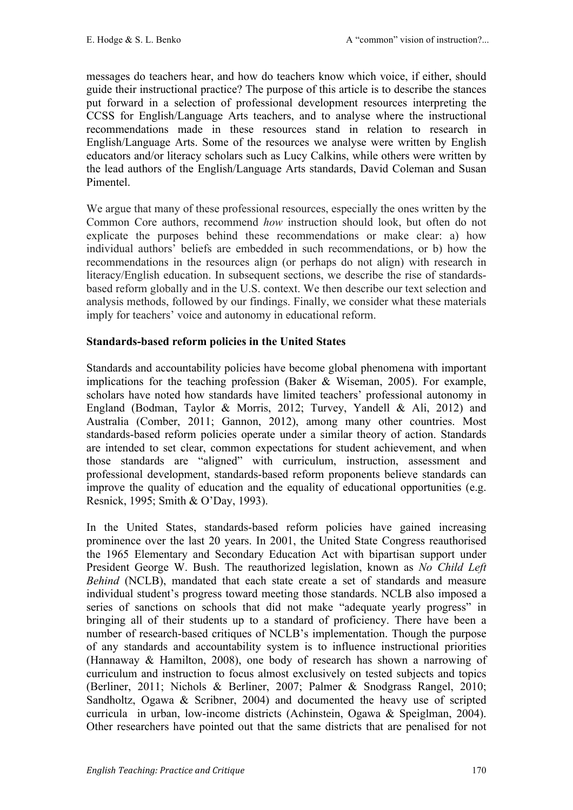messages do teachers hear, and how do teachers know which voice, if either, should guide their instructional practice? The purpose of this article is to describe the stances put forward in a selection of professional development resources interpreting the CCSS for English/Language Arts teachers, and to analyse where the instructional recommendations made in these resources stand in relation to research in English/Language Arts. Some of the resources we analyse were written by English educators and/or literacy scholars such as Lucy Calkins, while others were written by the lead authors of the English/Language Arts standards, David Coleman and Susan Pimentel.

We argue that many of these professional resources, especially the ones written by the Common Core authors, recommend *how* instruction should look, but often do not explicate the purposes behind these recommendations or make clear: a) how individual authors' beliefs are embedded in such recommendations, or b) how the recommendations in the resources align (or perhaps do not align) with research in literacy/English education. In subsequent sections, we describe the rise of standardsbased reform globally and in the U.S. context. We then describe our text selection and analysis methods, followed by our findings. Finally, we consider what these materials imply for teachers' voice and autonomy in educational reform.

# **Standards-based reform policies in the United States**

Standards and accountability policies have become global phenomena with important implications for the teaching profession (Baker & Wiseman, 2005). For example, scholars have noted how standards have limited teachers' professional autonomy in England (Bodman, Taylor & Morris, 2012; Turvey, Yandell & Ali, 2012) and Australia (Comber, 2011; Gannon, 2012), among many other countries. Most standards-based reform policies operate under a similar theory of action. Standards are intended to set clear, common expectations for student achievement, and when those standards are "aligned" with curriculum, instruction, assessment and professional development, standards-based reform proponents believe standards can improve the quality of education and the equality of educational opportunities (e.g. Resnick, 1995; Smith & O'Day, 1993).

In the United States, standards-based reform policies have gained increasing prominence over the last 20 years. In 2001, the United State Congress reauthorised the 1965 Elementary and Secondary Education Act with bipartisan support under President George W. Bush. The reauthorized legislation, known as *No Child Left Behind* (NCLB), mandated that each state create a set of standards and measure individual student's progress toward meeting those standards. NCLB also imposed a series of sanctions on schools that did not make "adequate yearly progress" in bringing all of their students up to a standard of proficiency. There have been a number of research-based critiques of NCLB's implementation. Though the purpose of any standards and accountability system is to influence instructional priorities (Hannaway & Hamilton, 2008), one body of research has shown a narrowing of curriculum and instruction to focus almost exclusively on tested subjects and topics (Berliner, 2011; Nichols & Berliner, 2007; Palmer & Snodgrass Rangel, 2010; Sandholtz, Ogawa & Scribner, 2004) and documented the heavy use of scripted curricula in urban, low-income districts (Achinstein, Ogawa & Speiglman, 2004). Other researchers have pointed out that the same districts that are penalised for not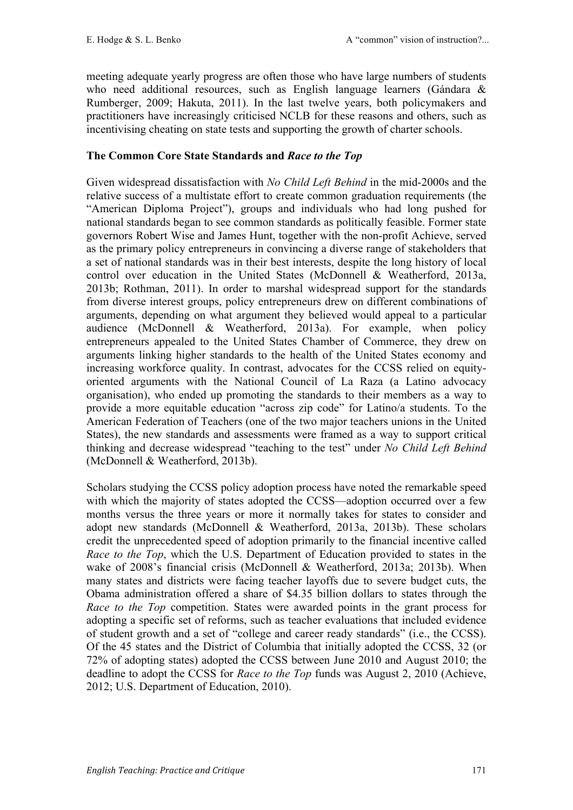meeting adequate yearly progress are often those who have large numbers of students who need additional resources, such as English language learners (Gándara & Rumberger, 2009; Hakuta, 2011). In the last twelve years, both policymakers and practitioners have increasingly criticised NCLB for these reasons and others, such as incentivising cheating on state tests and supporting the growth of charter schools.

# **The Common Core State Standards and** *Race to the Top*

Given widespread dissatisfaction with *No Child Left Behind* in the mid-2000s and the relative success of a multistate effort to create common graduation requirements (the "American Diploma Project"), groups and individuals who had long pushed for national standards began to see common standards as politically feasible. Former state governors Robert Wise and James Hunt, together with the non-profit Achieve, served as the primary policy entrepreneurs in convincing a diverse range of stakeholders that a set of national standards was in their best interests, despite the long history of local control over education in the United States (McDonnell & Weatherford, 2013a, 2013b; Rothman, 2011). In order to marshal widespread support for the standards from diverse interest groups, policy entrepreneurs drew on different combinations of arguments, depending on what argument they believed would appeal to a particular audience (McDonnell & Weatherford, 2013a). For example, when policy entrepreneurs appealed to the United States Chamber of Commerce, they drew on arguments linking higher standards to the health of the United States economy and increasing workforce quality. In contrast, advocates for the CCSS relied on equityoriented arguments with the National Council of La Raza (a Latino advocacy organisation), who ended up promoting the standards to their members as a way to provide a more equitable education "across zip code" for Latino/a students. To the American Federation of Teachers (one of the two major teachers unions in the United States), the new standards and assessments were framed as a way to support critical thinking and decrease widespread "teaching to the test" under *No Child Left Behind* (McDonnell & Weatherford, 2013b).

Scholars studying the CCSS policy adoption process have noted the remarkable speed with which the majority of states adopted the CCSS—adoption occurred over a few months versus the three years or more it normally takes for states to consider and adopt new standards (McDonnell & Weatherford, 2013a, 2013b). These scholars credit the unprecedented speed of adoption primarily to the financial incentive called *Race to the Top*, which the U.S. Department of Education provided to states in the wake of 2008's financial crisis (McDonnell & Weatherford, 2013a; 2013b). When many states and districts were facing teacher layoffs due to severe budget cuts, the Obama administration offered a share of \$4.35 billion dollars to states through the *Race to the Top* competition. States were awarded points in the grant process for adopting a specific set of reforms, such as teacher evaluations that included evidence of student growth and a set of "college and career ready standards" (i.e., the CCSS). Of the 45 states and the District of Columbia that initially adopted the CCSS, 32 (or 72% of adopting states) adopted the CCSS between June 2010 and August 2010; the deadline to adopt the CCSS for *Race to the Top* funds was August 2, 2010 (Achieve, 2012; U.S. Department of Education, 2010).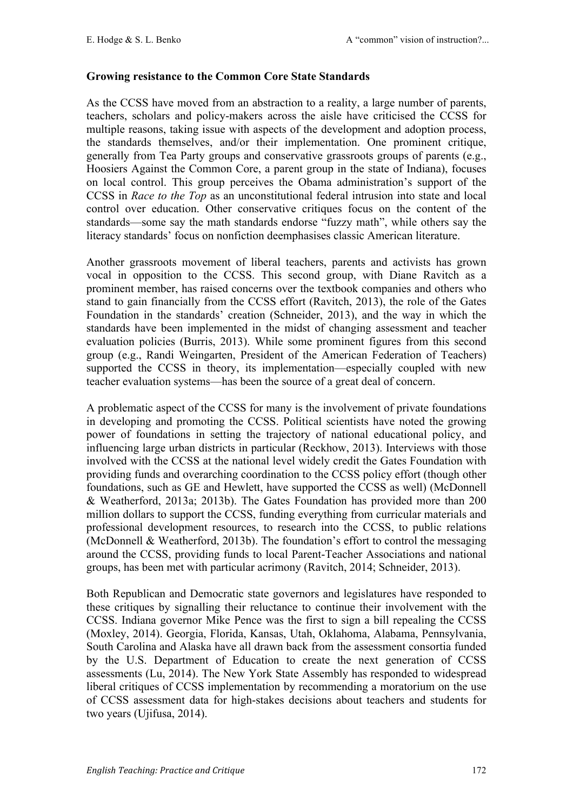### **Growing resistance to the Common Core State Standards**

As the CCSS have moved from an abstraction to a reality, a large number of parents, teachers, scholars and policy-makers across the aisle have criticised the CCSS for multiple reasons, taking issue with aspects of the development and adoption process, the standards themselves, and/or their implementation. One prominent critique, generally from Tea Party groups and conservative grassroots groups of parents (e.g., Hoosiers Against the Common Core, a parent group in the state of Indiana), focuses on local control. This group perceives the Obama administration's support of the CCSS in *Race to the Top* as an unconstitutional federal intrusion into state and local control over education. Other conservative critiques focus on the content of the standards—some say the math standards endorse "fuzzy math", while others say the literacy standards' focus on nonfiction deemphasises classic American literature.

Another grassroots movement of liberal teachers, parents and activists has grown vocal in opposition to the CCSS. This second group, with Diane Ravitch as a prominent member, has raised concerns over the textbook companies and others who stand to gain financially from the CCSS effort (Ravitch, 2013), the role of the Gates Foundation in the standards' creation (Schneider, 2013), and the way in which the standards have been implemented in the midst of changing assessment and teacher evaluation policies (Burris, 2013). While some prominent figures from this second group (e.g., Randi Weingarten, President of the American Federation of Teachers) supported the CCSS in theory, its implementation—especially coupled with new teacher evaluation systems—has been the source of a great deal of concern.

A problematic aspect of the CCSS for many is the involvement of private foundations in developing and promoting the CCSS. Political scientists have noted the growing power of foundations in setting the trajectory of national educational policy, and influencing large urban districts in particular (Reckhow, 2013). Interviews with those involved with the CCSS at the national level widely credit the Gates Foundation with providing funds and overarching coordination to the CCSS policy effort (though other foundations, such as GE and Hewlett, have supported the CCSS as well) (McDonnell & Weatherford, 2013a; 2013b). The Gates Foundation has provided more than 200 million dollars to support the CCSS, funding everything from curricular materials and professional development resources, to research into the CCSS, to public relations (McDonnell & Weatherford, 2013b). The foundation's effort to control the messaging around the CCSS, providing funds to local Parent-Teacher Associations and national groups, has been met with particular acrimony (Ravitch, 2014; Schneider, 2013).

Both Republican and Democratic state governors and legislatures have responded to these critiques by signalling their reluctance to continue their involvement with the CCSS. Indiana governor Mike Pence was the first to sign a bill repealing the CCSS (Moxley, 2014). Georgia, Florida, Kansas, Utah, Oklahoma, Alabama, Pennsylvania, South Carolina and Alaska have all drawn back from the assessment consortia funded by the U.S. Department of Education to create the next generation of CCSS assessments (Lu, 2014). The New York State Assembly has responded to widespread liberal critiques of CCSS implementation by recommending a moratorium on the use of CCSS assessment data for high-stakes decisions about teachers and students for two years (Ujifusa, 2014).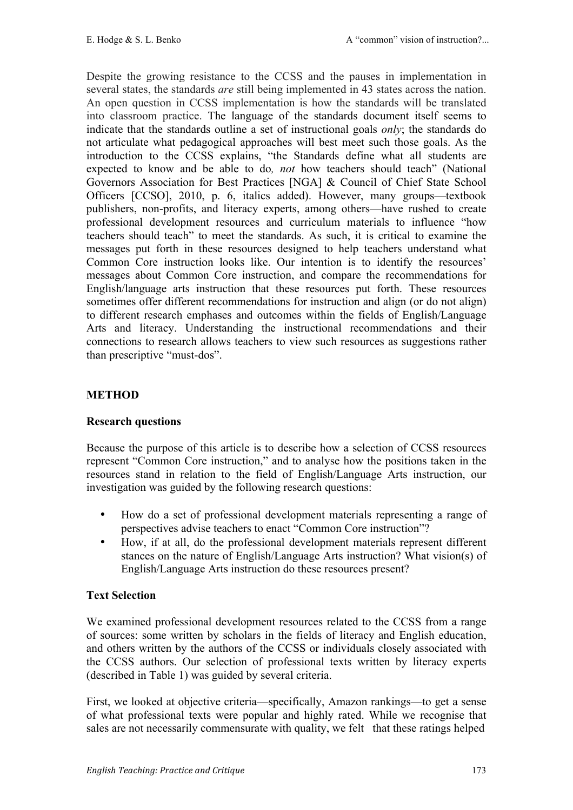Despite the growing resistance to the CCSS and the pauses in implementation in several states, the standards *are* still being implemented in 43 states across the nation. An open question in CCSS implementation is how the standards will be translated into classroom practice. The language of the standards document itself seems to indicate that the standards outline a set of instructional goals *only*; the standards do not articulate what pedagogical approaches will best meet such those goals. As the introduction to the CCSS explains, "the Standards define what all students are expected to know and be able to do*, not* how teachers should teach" (National Governors Association for Best Practices [NGA] & Council of Chief State School Officers [CCSO], 2010, p. 6, italics added). However, many groups—textbook publishers, non-profits, and literacy experts, among others—have rushed to create professional development resources and curriculum materials to influence "how teachers should teach" to meet the standards. As such, it is critical to examine the messages put forth in these resources designed to help teachers understand what Common Core instruction looks like. Our intention is to identify the resources' messages about Common Core instruction, and compare the recommendations for English/language arts instruction that these resources put forth. These resources sometimes offer different recommendations for instruction and align (or do not align) to different research emphases and outcomes within the fields of English/Language Arts and literacy. Understanding the instructional recommendations and their connections to research allows teachers to view such resources as suggestions rather than prescriptive "must-dos".

## **METHOD**

## **Research questions**

Because the purpose of this article is to describe how a selection of CCSS resources represent "Common Core instruction," and to analyse how the positions taken in the resources stand in relation to the field of English/Language Arts instruction, our investigation was guided by the following research questions:

- How do a set of professional development materials representing a range of perspectives advise teachers to enact "Common Core instruction"?
- How, if at all, do the professional development materials represent different stances on the nature of English/Language Arts instruction? What vision(s) of English/Language Arts instruction do these resources present?

## **Text Selection**

We examined professional development resources related to the CCSS from a range of sources: some written by scholars in the fields of literacy and English education, and others written by the authors of the CCSS or individuals closely associated with the CCSS authors. Our selection of professional texts written by literacy experts (described in Table 1) was guided by several criteria.

First, we looked at objective criteria—specifically, Amazon rankings—to get a sense of what professional texts were popular and highly rated. While we recognise that sales are not necessarily commensurate with quality, we felt that these ratings helped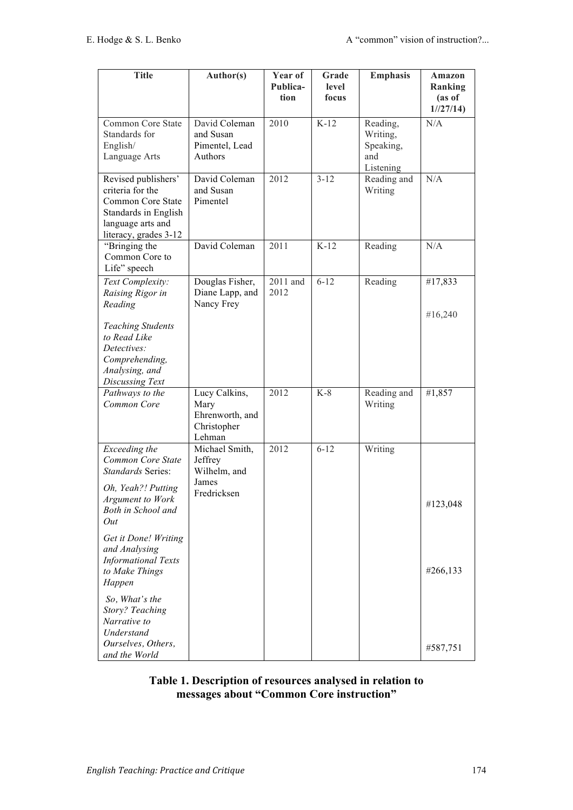| <b>Title</b>                                                                                                                       | Author(s)                                                         | Year of<br>Publica- | Grade<br>level | <b>Emphasis</b>                                       | <b>Amazon</b><br>Ranking |
|------------------------------------------------------------------------------------------------------------------------------------|-------------------------------------------------------------------|---------------------|----------------|-------------------------------------------------------|--------------------------|
|                                                                                                                                    |                                                                   | tion                | focus          |                                                       | (as of<br>1//27/14)      |
| Common Core State<br>Standards for<br>English/<br>Language Arts                                                                    | David Coleman<br>and Susan<br>Pimentel, Lead<br>Authors           | 2010                | $K-12$         | Reading,<br>Writing,<br>Speaking,<br>and<br>Listening | N/A                      |
| Revised publishers'<br>criteria for the<br>Common Core State<br>Standards in English<br>language arts and<br>literacy, grades 3-12 | David Coleman<br>and Susan<br>Pimentel                            | 2012                | $3 - 12$       | Reading and<br>Writing                                | N/A                      |
| "Bringing the<br>Common Core to<br>Life" speech                                                                                    | David Coleman                                                     | 2011                | $K-12$         | Reading                                               | N/A                      |
| Text Complexity:<br>Raising Rigor in<br>Reading                                                                                    | Douglas Fisher,<br>Diane Lapp, and<br>Nancy Frey                  | 2011 and<br>2012    | $6 - 12$       | Reading                                               | #17,833                  |
| <b>Teaching Students</b><br>to Read Like<br>Detectives:<br>Comprehending,<br>Analysing, and<br>Discussing Text                     |                                                                   |                     |                |                                                       | #16,240                  |
| Pathways to the<br>Common Core                                                                                                     | Lucy Calkins,<br>Mary<br>Ehrenworth, and<br>Christopher<br>Lehman | 2012                | $K-8$          | Reading and<br>Writing                                | #1,857                   |
| Exceeding the<br>Common Core State<br><b>Standards Series:</b>                                                                     | Michael Smith,<br>Jeffrey<br>Wilhelm, and                         | 2012                | $6 - 12$       | Writing                                               |                          |
| Oh, Yeah?! Putting<br>Argument to Work<br>Both in School and<br>Out                                                                | James<br>Fredricksen                                              |                     |                |                                                       | #123,048                 |
| Get it Done! Writing<br>and Analysing<br><b>Informational Texts</b><br>to Make Things<br>Happen                                    |                                                                   |                     |                |                                                       | #266,133                 |
| So, What's the<br><b>Story? Teaching</b><br>Narrative to<br>Understand                                                             |                                                                   |                     |                |                                                       |                          |
| Ourselves, Others,<br>and the World                                                                                                |                                                                   |                     |                |                                                       | #587,751                 |

# **Table 1. Description of resources analysed in relation to messages about "Common Core instruction"**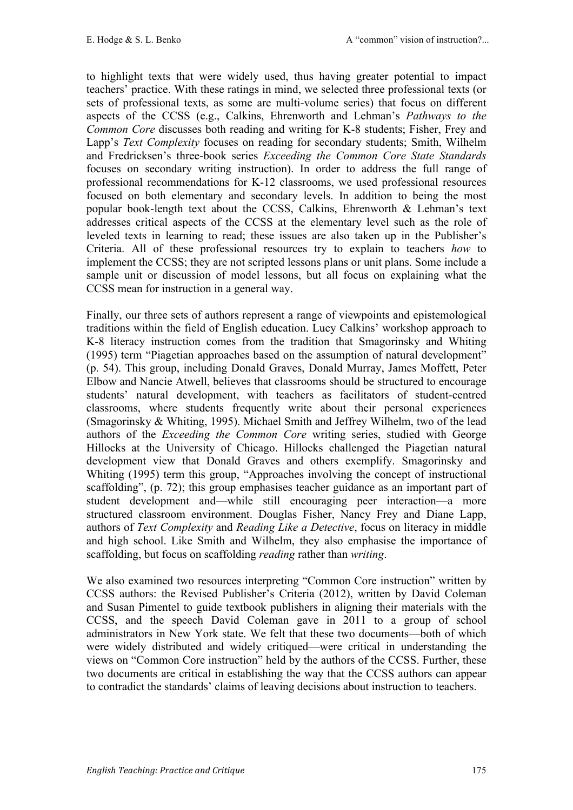to highlight texts that were widely used, thus having greater potential to impact teachers' practice. With these ratings in mind, we selected three professional texts (or sets of professional texts, as some are multi-volume series) that focus on different aspects of the CCSS (e.g., Calkins, Ehrenworth and Lehman's *Pathways to the Common Core* discusses both reading and writing for K-8 students; Fisher, Frey and Lapp's *Text Complexity* focuses on reading for secondary students; Smith, Wilhelm and Fredricksen's three-book series *Exceeding the Common Core State Standards*  focuses on secondary writing instruction). In order to address the full range of professional recommendations for K-12 classrooms, we used professional resources focused on both elementary and secondary levels. In addition to being the most popular book-length text about the CCSS, Calkins, Ehrenworth & Lehman's text addresses critical aspects of the CCSS at the elementary level such as the role of leveled texts in learning to read; these issues are also taken up in the Publisher's Criteria. All of these professional resources try to explain to teachers *how* to implement the CCSS; they are not scripted lessons plans or unit plans. Some include a sample unit or discussion of model lessons, but all focus on explaining what the CCSS mean for instruction in a general way.

Finally, our three sets of authors represent a range of viewpoints and epistemological traditions within the field of English education. Lucy Calkins' workshop approach to K-8 literacy instruction comes from the tradition that Smagorinsky and Whiting (1995) term "Piagetian approaches based on the assumption of natural development" (p. 54). This group, including Donald Graves, Donald Murray, James Moffett, Peter Elbow and Nancie Atwell, believes that classrooms should be structured to encourage students' natural development, with teachers as facilitators of student-centred classrooms, where students frequently write about their personal experiences (Smagorinsky & Whiting, 1995). Michael Smith and Jeffrey Wilhelm, two of the lead authors of the *Exceeding the Common Core* writing series, studied with George Hillocks at the University of Chicago. Hillocks challenged the Piagetian natural development view that Donald Graves and others exemplify. Smagorinsky and Whiting (1995) term this group, "Approaches involving the concept of instructional scaffolding", (p. 72); this group emphasises teacher guidance as an important part of student development and—while still encouraging peer interaction—a more structured classroom environment. Douglas Fisher, Nancy Frey and Diane Lapp, authors of *Text Complexity* and *Reading Like a Detective*, focus on literacy in middle and high school. Like Smith and Wilhelm, they also emphasise the importance of scaffolding, but focus on scaffolding *reading* rather than *writing*.

We also examined two resources interpreting "Common Core instruction" written by CCSS authors: the Revised Publisher's Criteria (2012), written by David Coleman and Susan Pimentel to guide textbook publishers in aligning their materials with the CCSS, and the speech David Coleman gave in 2011 to a group of school administrators in New York state. We felt that these two documents—both of which were widely distributed and widely critiqued—were critical in understanding the views on "Common Core instruction" held by the authors of the CCSS. Further, these two documents are critical in establishing the way that the CCSS authors can appear to contradict the standards' claims of leaving decisions about instruction to teachers.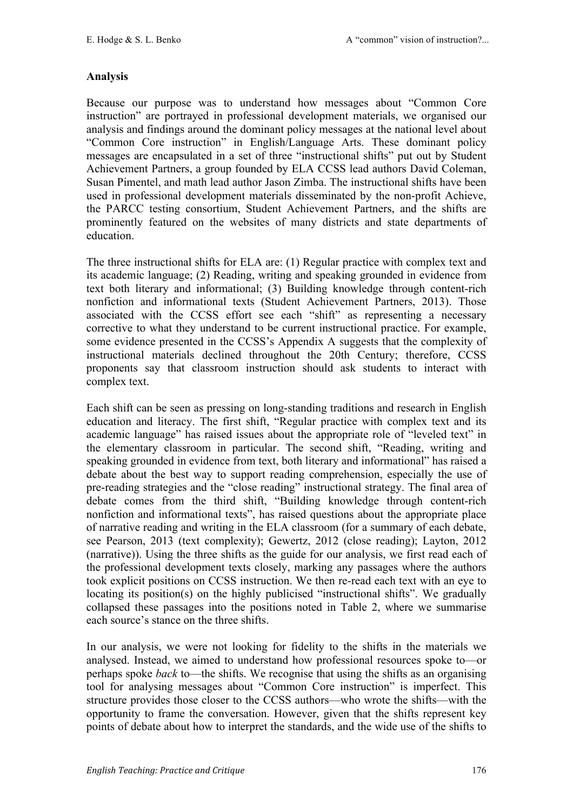## **Analysis**

Because our purpose was to understand how messages about "Common Core instruction" are portrayed in professional development materials, we organised our analysis and findings around the dominant policy messages at the national level about "Common Core instruction" in English/Language Arts. These dominant policy messages are encapsulated in a set of three "instructional shifts" put out by Student Achievement Partners, a group founded by ELA CCSS lead authors David Coleman, Susan Pimentel, and math lead author Jason Zimba. The instructional shifts have been used in professional development materials disseminated by the non-profit Achieve, the PARCC testing consortium, Student Achievement Partners, and the shifts are prominently featured on the websites of many districts and state departments of education.

The three instructional shifts for ELA are: (1) Regular practice with complex text and its academic language; (2) Reading, writing and speaking grounded in evidence from text both literary and informational; (3) Building knowledge through content-rich nonfiction and informational texts (Student Achievement Partners, 2013). Those associated with the CCSS effort see each "shift" as representing a necessary corrective to what they understand to be current instructional practice. For example, some evidence presented in the CCSS's Appendix A suggests that the complexity of instructional materials declined throughout the 20th Century; therefore, CCSS proponents say that classroom instruction should ask students to interact with complex text.

Each shift can be seen as pressing on long-standing traditions and research in English education and literacy. The first shift, "Regular practice with complex text and its academic language" has raised issues about the appropriate role of "leveled text" in the elementary classroom in particular. The second shift, "Reading, writing and speaking grounded in evidence from text, both literary and informational" has raised a debate about the best way to support reading comprehension, especially the use of pre-reading strategies and the "close reading" instructional strategy. The final area of debate comes from the third shift, "Building knowledge through content-rich nonfiction and informational texts", has raised questions about the appropriate place of narrative reading and writing in the ELA classroom (for a summary of each debate, see Pearson, 2013 (text complexity); Gewertz, 2012 (close reading); Layton, 2012 (narrative)). Using the three shifts as the guide for our analysis, we first read each of the professional development texts closely, marking any passages where the authors took explicit positions on CCSS instruction. We then re-read each text with an eye to locating its position(s) on the highly publicised "instructional shifts". We gradually collapsed these passages into the positions noted in Table 2, where we summarise each source's stance on the three shifts.

In our analysis, we were not looking for fidelity to the shifts in the materials we analysed. Instead, we aimed to understand how professional resources spoke to—or perhaps spoke *back* to—the shifts. We recognise that using the shifts as an organising tool for analysing messages about "Common Core instruction" is imperfect. This structure provides those closer to the CCSS authors—who wrote the shifts—with the opportunity to frame the conversation. However, given that the shifts represent key points of debate about how to interpret the standards, and the wide use of the shifts to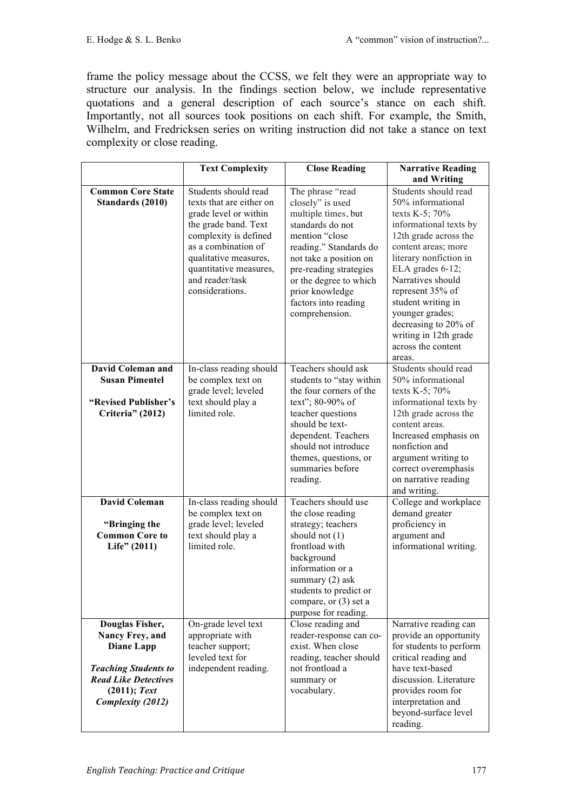frame the policy message about the CCSS, we felt they were an appropriate way to structure our analysis. In the findings section below, we include representative quotations and a general description of each source's stance on each shift. Importantly, not all sources took positions on each shift. For example, the Smith, Wilhelm, and Fredricksen series on writing instruction did not take a stance on text complexity or close reading.

|                                              | <b>Text Complexity</b>                                                                                                                                                                                                                     | <b>Close Reading</b>                                                                                                                                                                                                                                                   | <b>Narrative Reading</b>                                                                                                                                                                                                                                                                                                                               |
|----------------------------------------------|--------------------------------------------------------------------------------------------------------------------------------------------------------------------------------------------------------------------------------------------|------------------------------------------------------------------------------------------------------------------------------------------------------------------------------------------------------------------------------------------------------------------------|--------------------------------------------------------------------------------------------------------------------------------------------------------------------------------------------------------------------------------------------------------------------------------------------------------------------------------------------------------|
|                                              |                                                                                                                                                                                                                                            |                                                                                                                                                                                                                                                                        | and Writing                                                                                                                                                                                                                                                                                                                                            |
| <b>Common Core State</b><br>Standards (2010) | Students should read<br>texts that are either on<br>grade level or within<br>the grade band. Text<br>complexity is defined<br>as a combination of<br>qualitative measures,<br>quantitative measures,<br>and reader/task<br>considerations. | The phrase "read<br>closely" is used<br>multiple times, but<br>standards do not<br>mention "close<br>reading." Standards do<br>not take a position on<br>pre-reading strategies<br>or the degree to which<br>prior knowledge<br>factors into reading<br>comprehension. | Students should read<br>50% informational<br>texts K-5; 70%<br>informational texts by<br>12th grade across the<br>content areas; more<br>literary nonfiction in<br>ELA grades 6-12;<br>Narratives should<br>represent 35% of<br>student writing in<br>younger grades;<br>decreasing to 20% of<br>writing in 12th grade<br>across the content<br>areas. |
| <b>David Coleman and</b>                     | In-class reading should                                                                                                                                                                                                                    | Teachers should ask                                                                                                                                                                                                                                                    | Students should read                                                                                                                                                                                                                                                                                                                                   |
| <b>Susan Pimentel</b>                        | be complex text on<br>grade level; leveled                                                                                                                                                                                                 | students to "stay within<br>the four corners of the                                                                                                                                                                                                                    | 50% informational<br>texts K-5; 70%                                                                                                                                                                                                                                                                                                                    |
| "Revised Publisher's                         | text should play a                                                                                                                                                                                                                         | text"; 80-90% of                                                                                                                                                                                                                                                       | informational texts by                                                                                                                                                                                                                                                                                                                                 |
| Criteria" (2012)                             | limited role.                                                                                                                                                                                                                              | teacher questions                                                                                                                                                                                                                                                      | 12th grade across the                                                                                                                                                                                                                                                                                                                                  |
|                                              |                                                                                                                                                                                                                                            | should be text-<br>dependent. Teachers                                                                                                                                                                                                                                 | content areas.<br>Increased emphasis on                                                                                                                                                                                                                                                                                                                |
|                                              |                                                                                                                                                                                                                                            | should not introduce                                                                                                                                                                                                                                                   | nonfiction and                                                                                                                                                                                                                                                                                                                                         |
|                                              |                                                                                                                                                                                                                                            | themes, questions, or                                                                                                                                                                                                                                                  | argument writing to                                                                                                                                                                                                                                                                                                                                    |
|                                              |                                                                                                                                                                                                                                            | summaries before                                                                                                                                                                                                                                                       | correct overemphasis                                                                                                                                                                                                                                                                                                                                   |
|                                              |                                                                                                                                                                                                                                            | reading.                                                                                                                                                                                                                                                               | on narrative reading<br>and writing.                                                                                                                                                                                                                                                                                                                   |
| <b>David Coleman</b>                         | In-class reading should                                                                                                                                                                                                                    | Teachers should use                                                                                                                                                                                                                                                    | College and workplace                                                                                                                                                                                                                                                                                                                                  |
|                                              | be complex text on                                                                                                                                                                                                                         | the close reading                                                                                                                                                                                                                                                      | demand greater                                                                                                                                                                                                                                                                                                                                         |
| "Bringing the<br><b>Common Core to</b>       | grade level; leveled<br>text should play a                                                                                                                                                                                                 | strategy; teachers<br>should not $(1)$                                                                                                                                                                                                                                 | proficiency in<br>argument and                                                                                                                                                                                                                                                                                                                         |
| Life" (2011)                                 | limited role.                                                                                                                                                                                                                              | frontload with                                                                                                                                                                                                                                                         | informational writing.                                                                                                                                                                                                                                                                                                                                 |
|                                              |                                                                                                                                                                                                                                            | background                                                                                                                                                                                                                                                             |                                                                                                                                                                                                                                                                                                                                                        |
|                                              |                                                                                                                                                                                                                                            | information or a                                                                                                                                                                                                                                                       |                                                                                                                                                                                                                                                                                                                                                        |
|                                              |                                                                                                                                                                                                                                            | summary (2) ask<br>students to predict or                                                                                                                                                                                                                              |                                                                                                                                                                                                                                                                                                                                                        |
|                                              |                                                                                                                                                                                                                                            | compare, or (3) set a                                                                                                                                                                                                                                                  |                                                                                                                                                                                                                                                                                                                                                        |
|                                              |                                                                                                                                                                                                                                            | purpose for reading.                                                                                                                                                                                                                                                   |                                                                                                                                                                                                                                                                                                                                                        |
| Douglas Fisher,                              | On-grade level text                                                                                                                                                                                                                        | Close reading and                                                                                                                                                                                                                                                      | Narrative reading can                                                                                                                                                                                                                                                                                                                                  |
| Nancy Frey, and                              | appropriate with                                                                                                                                                                                                                           | reader-response can co-                                                                                                                                                                                                                                                | provide an opportunity                                                                                                                                                                                                                                                                                                                                 |
| <b>Diane Lapp</b>                            | teacher support;<br>leveled text for                                                                                                                                                                                                       | exist. When close<br>reading, teacher should                                                                                                                                                                                                                           | for students to perform<br>critical reading and                                                                                                                                                                                                                                                                                                        |
| <b>Teaching Students to</b>                  | independent reading.                                                                                                                                                                                                                       | not frontload a                                                                                                                                                                                                                                                        | have text-based                                                                                                                                                                                                                                                                                                                                        |
| <b>Read Like Detectives</b>                  |                                                                                                                                                                                                                                            | summary or                                                                                                                                                                                                                                                             | discussion. Literature                                                                                                                                                                                                                                                                                                                                 |
| $(2011);$ Text                               |                                                                                                                                                                                                                                            | vocabulary.                                                                                                                                                                                                                                                            | provides room for                                                                                                                                                                                                                                                                                                                                      |
| <b>Complexity (2012)</b>                     |                                                                                                                                                                                                                                            |                                                                                                                                                                                                                                                                        | interpretation and                                                                                                                                                                                                                                                                                                                                     |
|                                              |                                                                                                                                                                                                                                            |                                                                                                                                                                                                                                                                        | beyond-surface level<br>reading.                                                                                                                                                                                                                                                                                                                       |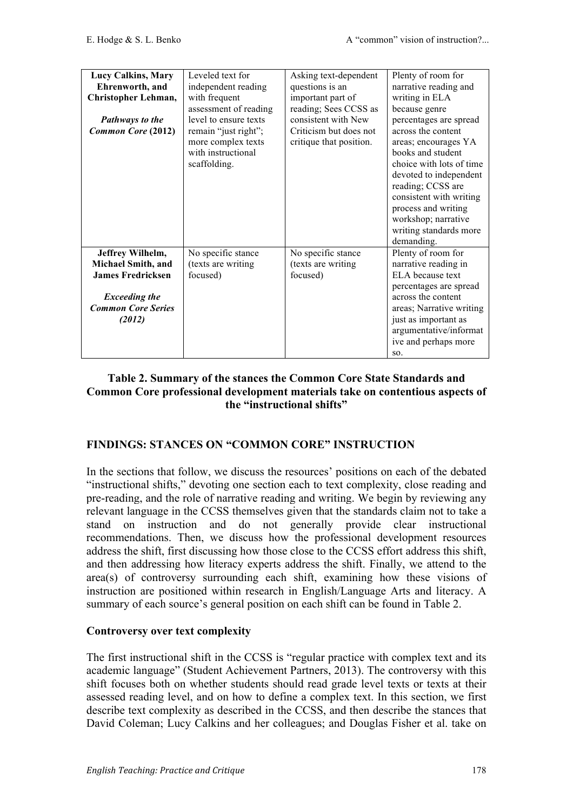| Lucy Calkins, Mary                                          | Leveled text for                                                                 | Asking text-dependent                             | Plenty of room for                                                                                                                                                                           |
|-------------------------------------------------------------|----------------------------------------------------------------------------------|---------------------------------------------------|----------------------------------------------------------------------------------------------------------------------------------------------------------------------------------------------|
| Ehrenworth, and                                             | independent reading                                                              | questions is an                                   | narrative reading and                                                                                                                                                                        |
| Christopher Lehman,                                         | with frequent                                                                    | important part of                                 | writing in ELA                                                                                                                                                                               |
|                                                             | assessment of reading                                                            | reading; Sees CCSS as                             | because genre                                                                                                                                                                                |
| Pathways to the                                             | level to ensure texts                                                            | consistent with New                               | percentages are spread                                                                                                                                                                       |
| Common Core (2012)                                          | remain "just right";<br>more complex texts<br>with instructional<br>scaffolding. | Criticism but does not<br>critique that position. | across the content<br>areas; encourages YA<br>books and student<br>choice with lots of time<br>devoted to independent<br>reading; CCSS are<br>consistent with writing<br>process and writing |
|                                                             |                                                                                  |                                                   | workshop; narrative<br>writing standards more<br>demanding.                                                                                                                                  |
| Jeffrey Wilhelm,                                            | No specific stance                                                               | No specific stance                                | Plenty of room for                                                                                                                                                                           |
| <b>Michael Smith, and</b>                                   | (texts are writing                                                               | (texts are writing                                | narrative reading in                                                                                                                                                                         |
| <b>James Fredricksen</b>                                    | focused)                                                                         | focused)                                          | ELA because text                                                                                                                                                                             |
| <b>Exceeding the</b><br><b>Common Core Series</b><br>(2012) |                                                                                  |                                                   | percentages are spread<br>across the content<br>areas; Narrative writing<br>just as important as<br>argumentative/informat<br>ive and perhaps more<br>SO.                                    |

## **Table 2. Summary of the stances the Common Core State Standards and Common Core professional development materials take on contentious aspects of the "instructional shifts"**

## **FINDINGS: STANCES ON "COMMON CORE" INSTRUCTION**

In the sections that follow, we discuss the resources' positions on each of the debated "instructional shifts," devoting one section each to text complexity, close reading and pre-reading, and the role of narrative reading and writing. We begin by reviewing any relevant language in the CCSS themselves given that the standards claim not to take a stand on instruction and do not generally provide clear instructional recommendations. Then, we discuss how the professional development resources address the shift, first discussing how those close to the CCSS effort address this shift, and then addressing how literacy experts address the shift. Finally, we attend to the area(s) of controversy surrounding each shift, examining how these visions of instruction are positioned within research in English/Language Arts and literacy. A summary of each source's general position on each shift can be found in Table 2.

### **Controversy over text complexity**

The first instructional shift in the CCSS is "regular practice with complex text and its academic language" (Student Achievement Partners, 2013). The controversy with this shift focuses both on whether students should read grade level texts or texts at their assessed reading level, and on how to define a complex text. In this section, we first describe text complexity as described in the CCSS, and then describe the stances that David Coleman; Lucy Calkins and her colleagues; and Douglas Fisher et al. take on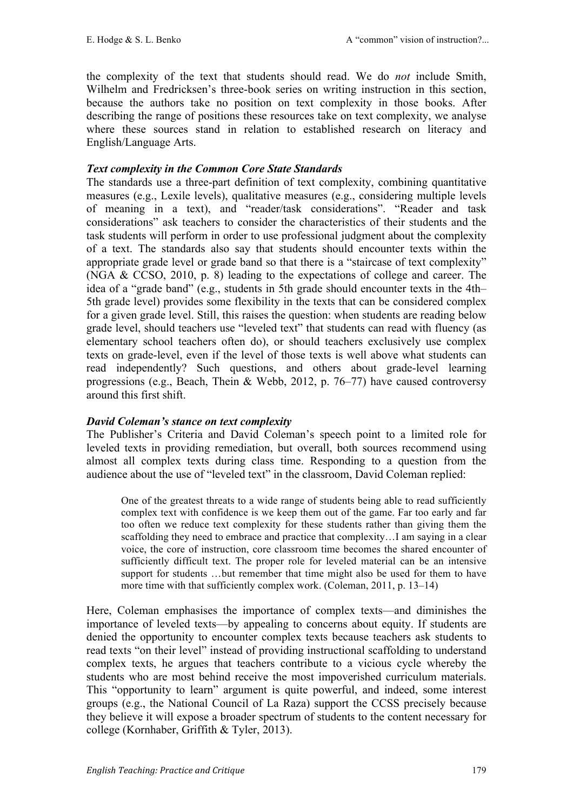the complexity of the text that students should read. We do *not* include Smith, Wilhelm and Fredricksen's three-book series on writing instruction in this section, because the authors take no position on text complexity in those books. After describing the range of positions these resources take on text complexity, we analyse where these sources stand in relation to established research on literacy and English/Language Arts.

# *Text complexity in the Common Core State Standards*

The standards use a three-part definition of text complexity, combining quantitative measures (e.g., Lexile levels), qualitative measures (e.g., considering multiple levels of meaning in a text), and "reader/task considerations". "Reader and task considerations" ask teachers to consider the characteristics of their students and the task students will perform in order to use professional judgment about the complexity of a text. The standards also say that students should encounter texts within the appropriate grade level or grade band so that there is a "staircase of text complexity" (NGA & CCSO, 2010, p. 8) leading to the expectations of college and career. The idea of a "grade band" (e.g., students in 5th grade should encounter texts in the 4th– 5th grade level) provides some flexibility in the texts that can be considered complex for a given grade level. Still, this raises the question: when students are reading below grade level, should teachers use "leveled text" that students can read with fluency (as elementary school teachers often do), or should teachers exclusively use complex texts on grade-level, even if the level of those texts is well above what students can read independently? Such questions, and others about grade-level learning progressions (e.g., Beach, Thein & Webb, 2012, p. 76–77) have caused controversy around this first shift.

## *David Coleman's stance on text complexity*

The Publisher's Criteria and David Coleman's speech point to a limited role for leveled texts in providing remediation, but overall, both sources recommend using almost all complex texts during class time. Responding to a question from the audience about the use of "leveled text" in the classroom, David Coleman replied:

One of the greatest threats to a wide range of students being able to read sufficiently complex text with confidence is we keep them out of the game. Far too early and far too often we reduce text complexity for these students rather than giving them the scaffolding they need to embrace and practice that complexity…I am saying in a clear voice, the core of instruction, core classroom time becomes the shared encounter of sufficiently difficult text. The proper role for leveled material can be an intensive support for students …but remember that time might also be used for them to have more time with that sufficiently complex work. (Coleman, 2011, p. 13–14)

Here, Coleman emphasises the importance of complex texts—and diminishes the importance of leveled texts—by appealing to concerns about equity. If students are denied the opportunity to encounter complex texts because teachers ask students to read texts "on their level" instead of providing instructional scaffolding to understand complex texts, he argues that teachers contribute to a vicious cycle whereby the students who are most behind receive the most impoverished curriculum materials. This "opportunity to learn" argument is quite powerful, and indeed, some interest groups (e.g., the National Council of La Raza) support the CCSS precisely because they believe it will expose a broader spectrum of students to the content necessary for college (Kornhaber, Griffith & Tyler, 2013).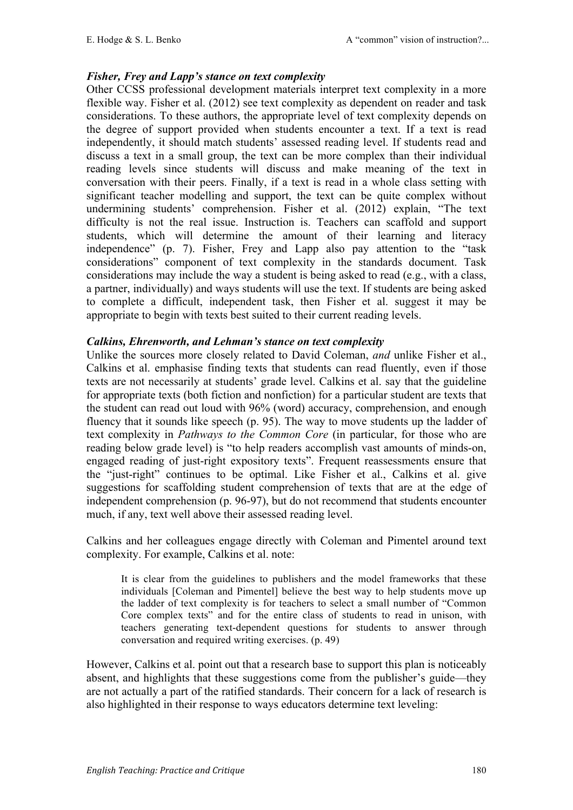#### *Fisher, Frey and Lapp's stance on text complexity*

Other CCSS professional development materials interpret text complexity in a more flexible way. Fisher et al. (2012) see text complexity as dependent on reader and task considerations. To these authors, the appropriate level of text complexity depends on the degree of support provided when students encounter a text. If a text is read independently, it should match students' assessed reading level. If students read and discuss a text in a small group, the text can be more complex than their individual reading levels since students will discuss and make meaning of the text in conversation with their peers. Finally, if a text is read in a whole class setting with significant teacher modelling and support, the text can be quite complex without undermining students' comprehension. Fisher et al. (2012) explain, "The text difficulty is not the real issue. Instruction is. Teachers can scaffold and support students, which will determine the amount of their learning and literacy independence" (p. 7). Fisher, Frey and Lapp also pay attention to the "task considerations" component of text complexity in the standards document. Task considerations may include the way a student is being asked to read (e.g., with a class, a partner, individually) and ways students will use the text. If students are being asked to complete a difficult, independent task, then Fisher et al. suggest it may be appropriate to begin with texts best suited to their current reading levels.

#### *Calkins, Ehrenworth, and Lehman's stance on text complexity*

Unlike the sources more closely related to David Coleman, *and* unlike Fisher et al., Calkins et al. emphasise finding texts that students can read fluently, even if those texts are not necessarily at students' grade level. Calkins et al. say that the guideline for appropriate texts (both fiction and nonfiction) for a particular student are texts that the student can read out loud with 96% (word) accuracy, comprehension, and enough fluency that it sounds like speech (p. 95). The way to move students up the ladder of text complexity in *Pathways to the Common Core* (in particular, for those who are reading below grade level) is "to help readers accomplish vast amounts of minds-on, engaged reading of just-right expository texts". Frequent reassessments ensure that the "just-right" continues to be optimal. Like Fisher et al., Calkins et al. give suggestions for scaffolding student comprehension of texts that are at the edge of independent comprehension (p. 96-97), but do not recommend that students encounter much, if any, text well above their assessed reading level.

Calkins and her colleagues engage directly with Coleman and Pimentel around text complexity. For example, Calkins et al. note:

It is clear from the guidelines to publishers and the model frameworks that these individuals [Coleman and Pimentel] believe the best way to help students move up the ladder of text complexity is for teachers to select a small number of "Common Core complex texts" and for the entire class of students to read in unison, with teachers generating text-dependent questions for students to answer through conversation and required writing exercises. (p. 49)

However, Calkins et al. point out that a research base to support this plan is noticeably absent, and highlights that these suggestions come from the publisher's guide—they are not actually a part of the ratified standards. Their concern for a lack of research is also highlighted in their response to ways educators determine text leveling: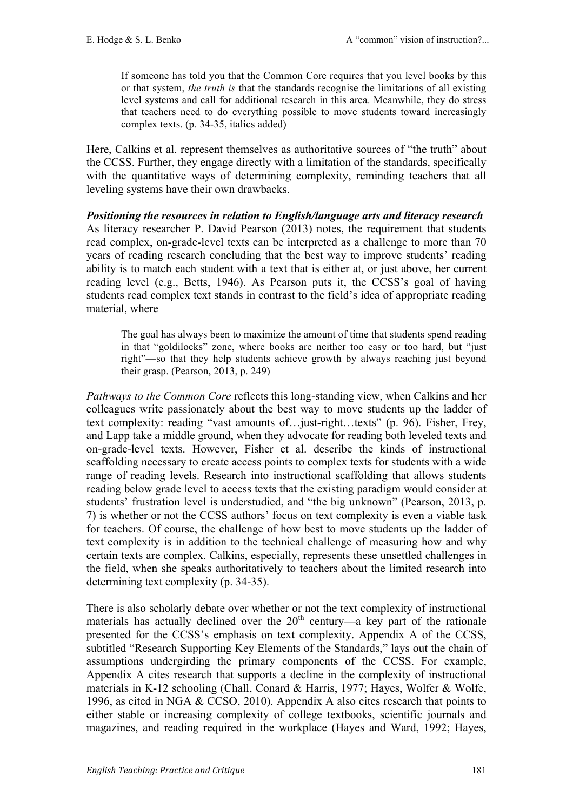If someone has told you that the Common Core requires that you level books by this or that system, *the truth is* that the standards recognise the limitations of all existing level systems and call for additional research in this area. Meanwhile, they do stress that teachers need to do everything possible to move students toward increasingly complex texts. (p. 34-35, italics added)

Here, Calkins et al. represent themselves as authoritative sources of "the truth" about the CCSS. Further, they engage directly with a limitation of the standards, specifically with the quantitative ways of determining complexity, reminding teachers that all leveling systems have their own drawbacks.

*Positioning the resources in relation to English/language arts and literacy research*  As literacy researcher P. David Pearson (2013) notes, the requirement that students read complex, on-grade-level texts can be interpreted as a challenge to more than 70 years of reading research concluding that the best way to improve students' reading ability is to match each student with a text that is either at, or just above, her current reading level (e.g., Betts, 1946). As Pearson puts it, the CCSS's goal of having students read complex text stands in contrast to the field's idea of appropriate reading material, where

The goal has always been to maximize the amount of time that students spend reading in that "goldilocks" zone, where books are neither too easy or too hard, but "just right"—so that they help students achieve growth by always reaching just beyond their grasp. (Pearson, 2013, p. 249)

*Pathways to the Common Core* reflects this long-standing view, when Calkins and her colleagues write passionately about the best way to move students up the ladder of text complexity: reading "vast amounts of…just-right…texts" (p. 96). Fisher, Frey, and Lapp take a middle ground, when they advocate for reading both leveled texts and on-grade-level texts. However, Fisher et al. describe the kinds of instructional scaffolding necessary to create access points to complex texts for students with a wide range of reading levels. Research into instructional scaffolding that allows students reading below grade level to access texts that the existing paradigm would consider at students' frustration level is understudied, and "the big unknown" (Pearson, 2013, p. 7) is whether or not the CCSS authors' focus on text complexity is even a viable task for teachers. Of course, the challenge of how best to move students up the ladder of text complexity is in addition to the technical challenge of measuring how and why certain texts are complex. Calkins, especially, represents these unsettled challenges in the field, when she speaks authoritatively to teachers about the limited research into determining text complexity (p. 34-35).

There is also scholarly debate over whether or not the text complexity of instructional materials has actually declined over the  $20<sup>th</sup>$  century—a key part of the rationale presented for the CCSS's emphasis on text complexity. Appendix A of the CCSS, subtitled "Research Supporting Key Elements of the Standards," lays out the chain of assumptions undergirding the primary components of the CCSS. For example, Appendix A cites research that supports a decline in the complexity of instructional materials in K-12 schooling (Chall, Conard & Harris, 1977; Hayes, Wolfer & Wolfe, 1996, as cited in NGA & CCSO, 2010). Appendix A also cites research that points to either stable or increasing complexity of college textbooks, scientific journals and magazines, and reading required in the workplace (Hayes and Ward, 1992; Hayes,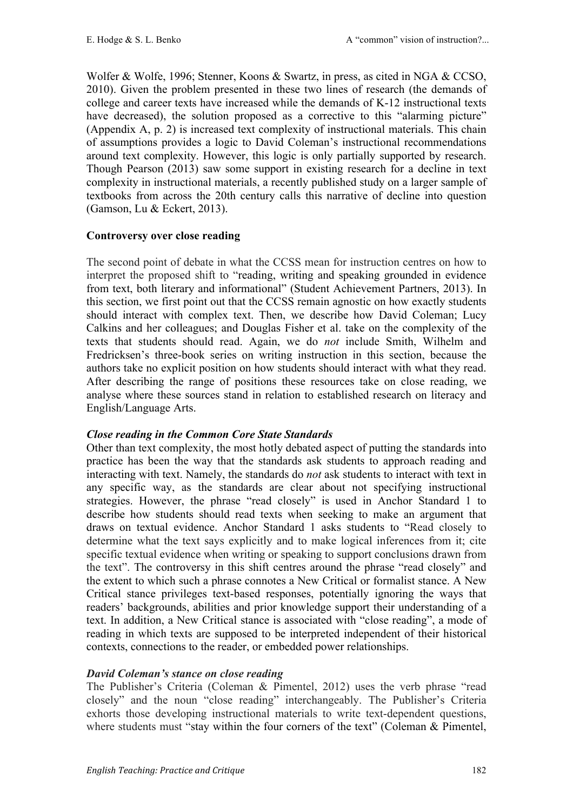Wolfer & Wolfe, 1996; Stenner, Koons & Swartz, in press, as cited in NGA & CCSO, 2010). Given the problem presented in these two lines of research (the demands of college and career texts have increased while the demands of K-12 instructional texts have decreased), the solution proposed as a corrective to this "alarming picture" (Appendix A, p. 2) is increased text complexity of instructional materials. This chain of assumptions provides a logic to David Coleman's instructional recommendations around text complexity. However, this logic is only partially supported by research. Though Pearson (2013) saw some support in existing research for a decline in text complexity in instructional materials, a recently published study on a larger sample of textbooks from across the 20th century calls this narrative of decline into question (Gamson, Lu & Eckert, 2013).

## **Controversy over close reading**

The second point of debate in what the CCSS mean for instruction centres on how to interpret the proposed shift to "reading, writing and speaking grounded in evidence from text, both literary and informational" (Student Achievement Partners, 2013). In this section, we first point out that the CCSS remain agnostic on how exactly students should interact with complex text. Then, we describe how David Coleman; Lucy Calkins and her colleagues; and Douglas Fisher et al. take on the complexity of the texts that students should read. Again, we do *not* include Smith, Wilhelm and Fredricksen's three-book series on writing instruction in this section, because the authors take no explicit position on how students should interact with what they read. After describing the range of positions these resources take on close reading, we analyse where these sources stand in relation to established research on literacy and English/Language Arts.

# *Close reading in the Common Core State Standards*

Other than text complexity, the most hotly debated aspect of putting the standards into practice has been the way that the standards ask students to approach reading and interacting with text. Namely, the standards do *not* ask students to interact with text in any specific way, as the standards are clear about not specifying instructional strategies. However, the phrase "read closely" is used in Anchor Standard 1 to describe how students should read texts when seeking to make an argument that draws on textual evidence. Anchor Standard 1 asks students to "Read closely to determine what the text says explicitly and to make logical inferences from it; cite specific textual evidence when writing or speaking to support conclusions drawn from the text". The controversy in this shift centres around the phrase "read closely" and the extent to which such a phrase connotes a New Critical or formalist stance. A New Critical stance privileges text-based responses, potentially ignoring the ways that readers' backgrounds, abilities and prior knowledge support their understanding of a text. In addition, a New Critical stance is associated with "close reading", a mode of reading in which texts are supposed to be interpreted independent of their historical contexts, connections to the reader, or embedded power relationships.

## *David Coleman's stance on close reading*

The Publisher's Criteria (Coleman & Pimentel, 2012) uses the verb phrase "read closely" and the noun "close reading" interchangeably. The Publisher's Criteria exhorts those developing instructional materials to write text-dependent questions, where students must "stay within the four corners of the text" (Coleman & Pimentel,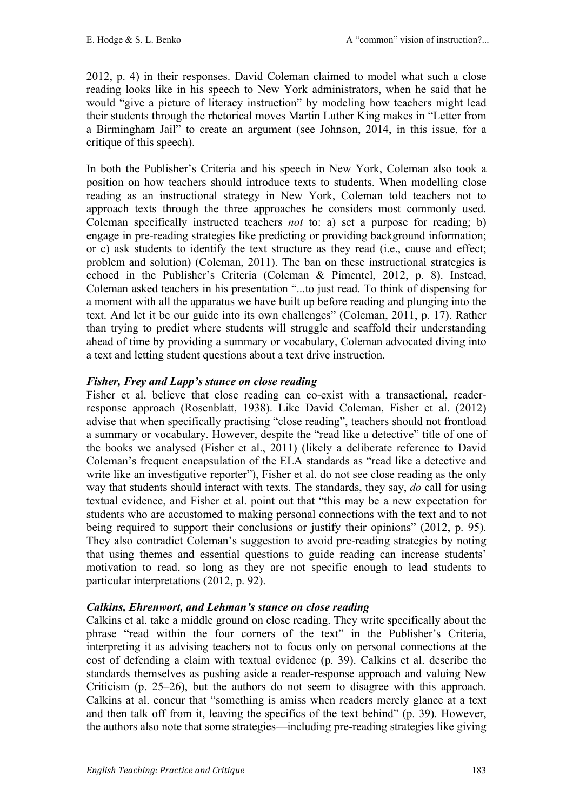2012, p. 4) in their responses. David Coleman claimed to model what such a close reading looks like in his speech to New York administrators, when he said that he would "give a picture of literacy instruction" by modeling how teachers might lead their students through the rhetorical moves Martin Luther King makes in "Letter from a Birmingham Jail" to create an argument (see Johnson, 2014, in this issue, for a critique of this speech).

In both the Publisher's Criteria and his speech in New York, Coleman also took a position on how teachers should introduce texts to students. When modelling close reading as an instructional strategy in New York, Coleman told teachers not to approach texts through the three approaches he considers most commonly used. Coleman specifically instructed teachers *not* to: a) set a purpose for reading; b) engage in pre-reading strategies like predicting or providing background information; or c) ask students to identify the text structure as they read (i.e., cause and effect; problem and solution) (Coleman, 2011). The ban on these instructional strategies is echoed in the Publisher's Criteria (Coleman & Pimentel, 2012, p. 8). Instead, Coleman asked teachers in his presentation "...to just read. To think of dispensing for a moment with all the apparatus we have built up before reading and plunging into the text. And let it be our guide into its own challenges" (Coleman, 2011, p. 17). Rather than trying to predict where students will struggle and scaffold their understanding ahead of time by providing a summary or vocabulary, Coleman advocated diving into a text and letting student questions about a text drive instruction.

## *Fisher, Frey and Lapp's stance on close reading*

Fisher et al. believe that close reading can co-exist with a transactional, readerresponse approach (Rosenblatt, 1938). Like David Coleman, Fisher et al. (2012) advise that when specifically practising "close reading", teachers should not frontload a summary or vocabulary. However, despite the "read like a detective" title of one of the books we analysed (Fisher et al., 2011) (likely a deliberate reference to David Coleman's frequent encapsulation of the ELA standards as "read like a detective and write like an investigative reporter"), Fisher et al. do not see close reading as the only way that students should interact with texts. The standards, they say, *do* call for using textual evidence, and Fisher et al. point out that "this may be a new expectation for students who are accustomed to making personal connections with the text and to not being required to support their conclusions or justify their opinions" (2012, p. 95). They also contradict Coleman's suggestion to avoid pre-reading strategies by noting that using themes and essential questions to guide reading can increase students' motivation to read, so long as they are not specific enough to lead students to particular interpretations (2012, p. 92).

## *Calkins, Ehrenwort, and Lehman's stance on close reading*

Calkins et al. take a middle ground on close reading. They write specifically about the phrase "read within the four corners of the text" in the Publisher's Criteria, interpreting it as advising teachers not to focus only on personal connections at the cost of defending a claim with textual evidence (p. 39). Calkins et al. describe the standards themselves as pushing aside a reader-response approach and valuing New Criticism (p. 25–26), but the authors do not seem to disagree with this approach. Calkins at al. concur that "something is amiss when readers merely glance at a text and then talk off from it, leaving the specifics of the text behind" (p. 39). However, the authors also note that some strategies—including pre-reading strategies like giving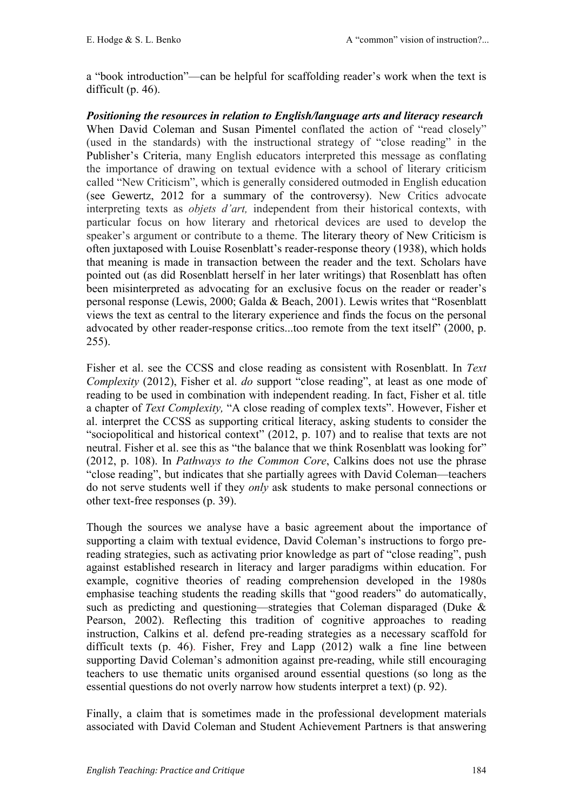a "book introduction"—can be helpful for scaffolding reader's work when the text is difficult (p. 46).

*Positioning the resources in relation to English/language arts and literacy research* When David Coleman and Susan Pimentel conflated the action of "read closely" (used in the standards) with the instructional strategy of "close reading" in the Publisher's Criteria, many English educators interpreted this message as conflating the importance of drawing on textual evidence with a school of literary criticism called "New Criticism", which is generally considered outmoded in English education (see Gewertz, 2012 for a summary of the controversy). New Critics advocate interpreting texts as *objets d'art,* independent from their historical contexts, with particular focus on how literary and rhetorical devices are used to develop the speaker's argument or contribute to a theme. The literary theory of New Criticism is often juxtaposed with Louise Rosenblatt's reader-response theory (1938), which holds that meaning is made in transaction between the reader and the text. Scholars have pointed out (as did Rosenblatt herself in her later writings) that Rosenblatt has often been misinterpreted as advocating for an exclusive focus on the reader or reader's personal response (Lewis, 2000; Galda & Beach, 2001). Lewis writes that "Rosenblatt views the text as central to the literary experience and finds the focus on the personal advocated by other reader-response critics...too remote from the text itself" (2000, p. 255).

Fisher et al. see the CCSS and close reading as consistent with Rosenblatt. In *Text Complexity* (2012), Fisher et al. *do* support "close reading", at least as one mode of reading to be used in combination with independent reading. In fact, Fisher et al. title a chapter of *Text Complexity,* "A close reading of complex texts". However, Fisher et al. interpret the CCSS as supporting critical literacy, asking students to consider the "sociopolitical and historical context" (2012, p. 107) and to realise that texts are not neutral. Fisher et al. see this as "the balance that we think Rosenblatt was looking for" (2012, p. 108). In *Pathways to the Common Core*, Calkins does not use the phrase "close reading", but indicates that she partially agrees with David Coleman—teachers do not serve students well if they *only* ask students to make personal connections or other text-free responses (p. 39).

Though the sources we analyse have a basic agreement about the importance of supporting a claim with textual evidence, David Coleman's instructions to forgo prereading strategies, such as activating prior knowledge as part of "close reading", push against established research in literacy and larger paradigms within education. For example, cognitive theories of reading comprehension developed in the 1980s emphasise teaching students the reading skills that "good readers" do automatically, such as predicting and questioning—strategies that Coleman disparaged (Duke & Pearson, 2002). Reflecting this tradition of cognitive approaches to reading instruction, Calkins et al. defend pre-reading strategies as a necessary scaffold for difficult texts (p. 46). Fisher, Frey and Lapp (2012) walk a fine line between supporting David Coleman's admonition against pre-reading, while still encouraging teachers to use thematic units organised around essential questions (so long as the essential questions do not overly narrow how students interpret a text) (p. 92).

Finally, a claim that is sometimes made in the professional development materials associated with David Coleman and Student Achievement Partners is that answering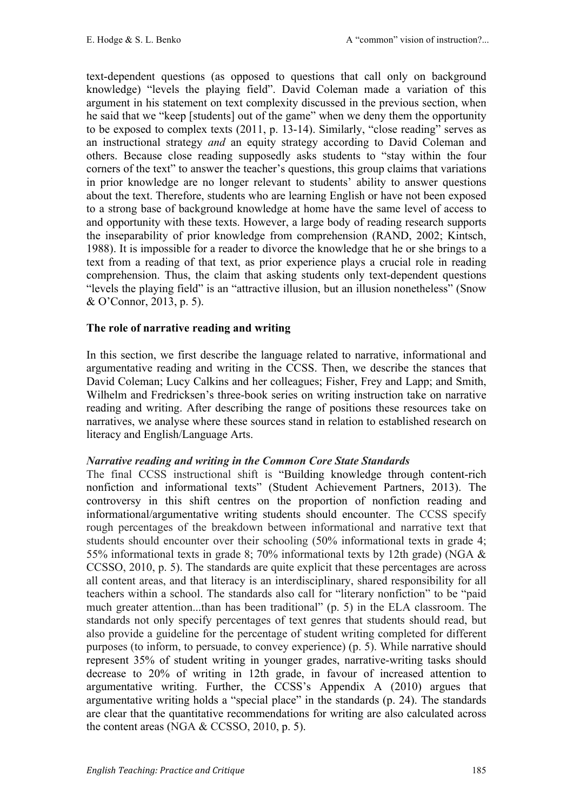text-dependent questions (as opposed to questions that call only on background knowledge) "levels the playing field". David Coleman made a variation of this argument in his statement on text complexity discussed in the previous section, when he said that we "keep [students] out of the game" when we deny them the opportunity to be exposed to complex texts (2011, p. 13-14). Similarly, "close reading" serves as an instructional strategy *and* an equity strategy according to David Coleman and others. Because close reading supposedly asks students to "stay within the four corners of the text" to answer the teacher's questions, this group claims that variations in prior knowledge are no longer relevant to students' ability to answer questions about the text. Therefore, students who are learning English or have not been exposed to a strong base of background knowledge at home have the same level of access to and opportunity with these texts. However, a large body of reading research supports the inseparability of prior knowledge from comprehension (RAND, 2002; Kintsch, 1988). It is impossible for a reader to divorce the knowledge that he or she brings to a text from a reading of that text, as prior experience plays a crucial role in reading comprehension. Thus, the claim that asking students only text-dependent questions "levels the playing field" is an "attractive illusion, but an illusion nonetheless" (Snow & O'Connor, 2013, p. 5).

## **The role of narrative reading and writing**

In this section, we first describe the language related to narrative, informational and argumentative reading and writing in the CCSS. Then, we describe the stances that David Coleman; Lucy Calkins and her colleagues; Fisher, Frey and Lapp; and Smith, Wilhelm and Fredricksen's three-book series on writing instruction take on narrative reading and writing. After describing the range of positions these resources take on narratives, we analyse where these sources stand in relation to established research on literacy and English/Language Arts.

## *Narrative reading and writing in the Common Core State Standards*

The final CCSS instructional shift is "Building knowledge through content-rich nonfiction and informational texts" (Student Achievement Partners, 2013). The controversy in this shift centres on the proportion of nonfiction reading and informational/argumentative writing students should encounter. The CCSS specify rough percentages of the breakdown between informational and narrative text that students should encounter over their schooling (50% informational texts in grade 4; 55% informational texts in grade 8; 70% informational texts by 12th grade) (NGA & CCSSO, 2010, p. 5). The standards are quite explicit that these percentages are across all content areas, and that literacy is an interdisciplinary, shared responsibility for all teachers within a school. The standards also call for "literary nonfiction" to be "paid much greater attention...than has been traditional" (p. 5) in the ELA classroom. The standards not only specify percentages of text genres that students should read, but also provide a guideline for the percentage of student writing completed for different purposes (to inform, to persuade, to convey experience) (p. 5). While narrative should represent 35% of student writing in younger grades, narrative-writing tasks should decrease to 20% of writing in 12th grade, in favour of increased attention to argumentative writing. Further, the CCSS's Appendix A (2010) argues that argumentative writing holds a "special place" in the standards (p. 24). The standards are clear that the quantitative recommendations for writing are also calculated across the content areas (NGA & CCSSO, 2010, p. 5).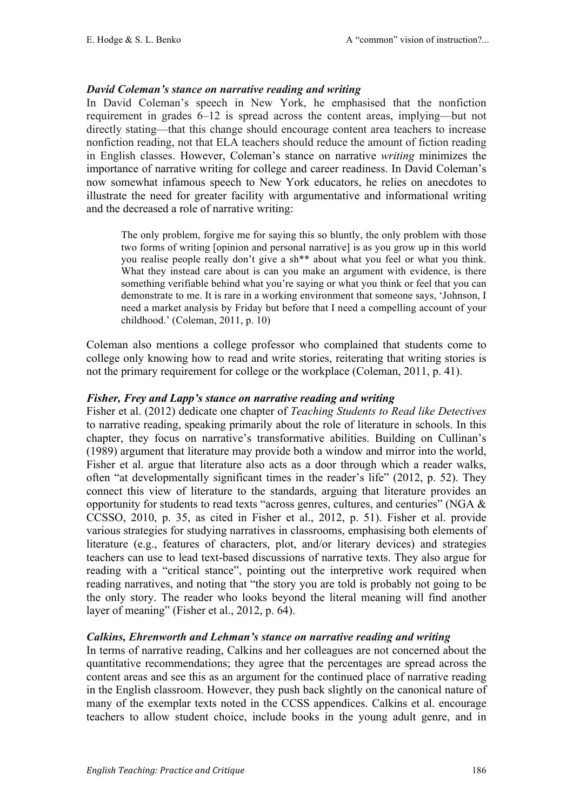### *David Coleman's stance on narrative reading and writing*

In David Coleman's speech in New York, he emphasised that the nonfiction requirement in grades 6–12 is spread across the content areas, implying—but not directly stating—that this change should encourage content area teachers to increase nonfiction reading, not that ELA teachers should reduce the amount of fiction reading in English classes. However, Coleman's stance on narrative *writing* minimizes the importance of narrative writing for college and career readiness. In David Coleman's now somewhat infamous speech to New York educators, he relies on anecdotes to illustrate the need for greater facility with argumentative and informational writing and the decreased a role of narrative writing:

The only problem, forgive me for saying this so bluntly, the only problem with those two forms of writing [opinion and personal narrative] is as you grow up in this world you realise people really don't give a sh\*\* about what you feel or what you think. What they instead care about is can you make an argument with evidence, is there something verifiable behind what you're saying or what you think or feel that you can demonstrate to me. It is rare in a working environment that someone says, 'Johnson, I need a market analysis by Friday but before that I need a compelling account of your childhood.' (Coleman, 2011, p. 10)

Coleman also mentions a college professor who complained that students come to college only knowing how to read and write stories, reiterating that writing stories is not the primary requirement for college or the workplace (Coleman, 2011, p. 41).

#### *Fisher, Frey and Lapp's stance on narrative reading and writing*

Fisher et al. (2012) dedicate one chapter of *Teaching Students to Read like Detectives*  to narrative reading, speaking primarily about the role of literature in schools. In this chapter, they focus on narrative's transformative abilities. Building on Cullinan's (1989) argument that literature may provide both a window and mirror into the world, Fisher et al. argue that literature also acts as a door through which a reader walks, often "at developmentally significant times in the reader's life" (2012, p. 52). They connect this view of literature to the standards, arguing that literature provides an opportunity for students to read texts "across genres, cultures, and centuries" (NGA & CCSSO, 2010, p. 35, as cited in Fisher et al., 2012, p. 51). Fisher et al. provide various strategies for studying narratives in classrooms, emphasising both elements of literature (e.g., features of characters, plot, and/or literary devices) and strategies teachers can use to lead text-based discussions of narrative texts. They also argue for reading with a "critical stance", pointing out the interpretive work required when reading narratives, and noting that "the story you are told is probably not going to be the only story. The reader who looks beyond the literal meaning will find another layer of meaning" (Fisher et al., 2012, p. 64).

#### *Calkins, Ehrenworth and Lehman's stance on narrative reading and writing*

In terms of narrative reading, Calkins and her colleagues are not concerned about the quantitative recommendations; they agree that the percentages are spread across the content areas and see this as an argument for the continued place of narrative reading in the English classroom. However, they push back slightly on the canonical nature of many of the exemplar texts noted in the CCSS appendices. Calkins et al. encourage teachers to allow student choice, include books in the young adult genre, and in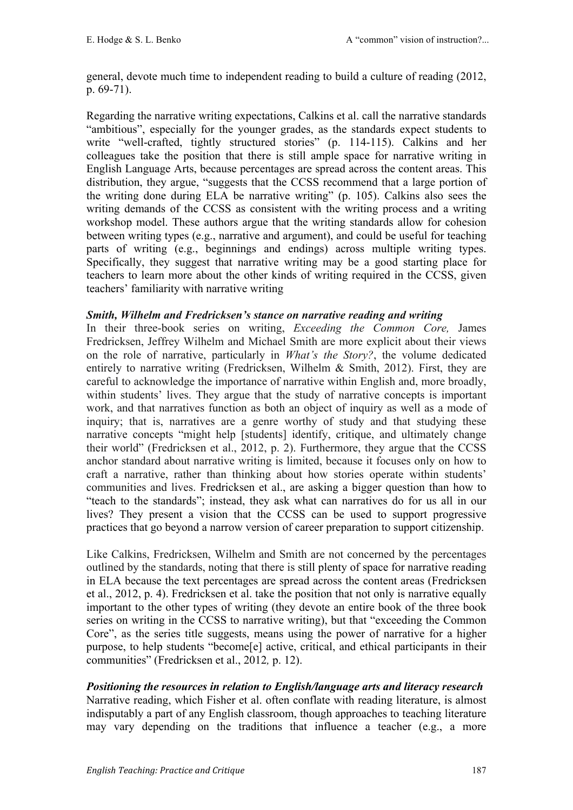general, devote much time to independent reading to build a culture of reading (2012, p. 69-71).

Regarding the narrative writing expectations, Calkins et al. call the narrative standards "ambitious", especially for the younger grades, as the standards expect students to write "well-crafted, tightly structured stories" (p. 114-115). Calkins and her colleagues take the position that there is still ample space for narrative writing in English Language Arts, because percentages are spread across the content areas. This distribution, they argue, "suggests that the CCSS recommend that a large portion of the writing done during ELA be narrative writing" (p. 105). Calkins also sees the writing demands of the CCSS as consistent with the writing process and a writing workshop model. These authors argue that the writing standards allow for cohesion between writing types (e.g., narrative and argument), and could be useful for teaching parts of writing (e.g., beginnings and endings) across multiple writing types. Specifically, they suggest that narrative writing may be a good starting place for teachers to learn more about the other kinds of writing required in the CCSS, given teachers' familiarity with narrative writing

## *Smith, Wilhelm and Fredricksen's stance on narrative reading and writing*

In their three-book series on writing, *Exceeding the Common Core,* James Fredricksen, Jeffrey Wilhelm and Michael Smith are more explicit about their views on the role of narrative, particularly in *What's the Story?*, the volume dedicated entirely to narrative writing (Fredricksen, Wilhelm & Smith, 2012). First, they are careful to acknowledge the importance of narrative within English and, more broadly, within students' lives. They argue that the study of narrative concepts is important work, and that narratives function as both an object of inquiry as well as a mode of inquiry; that is, narratives are a genre worthy of study and that studying these narrative concepts "might help [students] identify, critique, and ultimately change their world" (Fredricksen et al., 2012, p. 2). Furthermore, they argue that the CCSS anchor standard about narrative writing is limited, because it focuses only on how to craft a narrative, rather than thinking about how stories operate within students' communities and lives. Fredricksen et al., are asking a bigger question than how to "teach to the standards"; instead, they ask what can narratives do for us all in our lives? They present a vision that the CCSS can be used to support progressive practices that go beyond a narrow version of career preparation to support citizenship.

Like Calkins, Fredricksen, Wilhelm and Smith are not concerned by the percentages outlined by the standards, noting that there is still plenty of space for narrative reading in ELA because the text percentages are spread across the content areas (Fredricksen et al., 2012, p. 4). Fredricksen et al. take the position that not only is narrative equally important to the other types of writing (they devote an entire book of the three book series on writing in the CCSS to narrative writing), but that "exceeding the Common Core", as the series title suggests, means using the power of narrative for a higher purpose, to help students "become[e] active, critical, and ethical participants in their communities" (Fredricksen et al., 2012*,* p. 12).

*Positioning the resources in relation to English/language arts and literacy research* Narrative reading, which Fisher et al. often conflate with reading literature, is almost indisputably a part of any English classroom, though approaches to teaching literature may vary depending on the traditions that influence a teacher (e.g., a more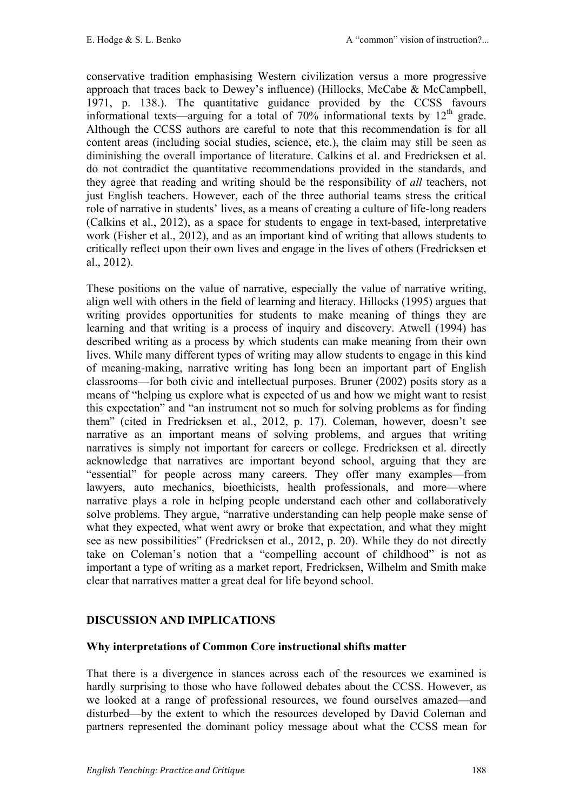conservative tradition emphasising Western civilization versus a more progressive approach that traces back to Dewey's influence) (Hillocks, McCabe & McCampbell, 1971, p. 138.). The quantitative guidance provided by the CCSS favours informational texts—arguing for a total of  $70\%$  informational texts by  $12<sup>th</sup>$  grade. Although the CCSS authors are careful to note that this recommendation is for all content areas (including social studies, science, etc.), the claim may still be seen as diminishing the overall importance of literature. Calkins et al. and Fredricksen et al. do not contradict the quantitative recommendations provided in the standards, and they agree that reading and writing should be the responsibility of *all* teachers, not just English teachers. However, each of the three authorial teams stress the critical role of narrative in students' lives, as a means of creating a culture of life-long readers (Calkins et al., 2012), as a space for students to engage in text-based, interpretative work (Fisher et al., 2012), and as an important kind of writing that allows students to critically reflect upon their own lives and engage in the lives of others (Fredricksen et al., 2012).

These positions on the value of narrative, especially the value of narrative writing, align well with others in the field of learning and literacy. Hillocks (1995) argues that writing provides opportunities for students to make meaning of things they are learning and that writing is a process of inquiry and discovery. Atwell (1994) has described writing as a process by which students can make meaning from their own lives. While many different types of writing may allow students to engage in this kind of meaning-making, narrative writing has long been an important part of English classrooms—for both civic and intellectual purposes. Bruner (2002) posits story as a means of "helping us explore what is expected of us and how we might want to resist this expectation" and "an instrument not so much for solving problems as for finding them" (cited in Fredricksen et al., 2012, p. 17). Coleman, however, doesn't see narrative as an important means of solving problems, and argues that writing narratives is simply not important for careers or college. Fredricksen et al. directly acknowledge that narratives are important beyond school, arguing that they are "essential" for people across many careers. They offer many examples—from lawyers, auto mechanics, bioethicists, health professionals, and more—where narrative plays a role in helping people understand each other and collaboratively solve problems. They argue, "narrative understanding can help people make sense of what they expected, what went awry or broke that expectation, and what they might see as new possibilities" (Fredricksen et al., 2012, p. 20). While they do not directly take on Coleman's notion that a "compelling account of childhood" is not as important a type of writing as a market report, Fredricksen, Wilhelm and Smith make clear that narratives matter a great deal for life beyond school.

# **DISCUSSION AND IMPLICATIONS**

## **Why interpretations of Common Core instructional shifts matter**

That there is a divergence in stances across each of the resources we examined is hardly surprising to those who have followed debates about the CCSS. However, as we looked at a range of professional resources, we found ourselves amazed—and disturbed—by the extent to which the resources developed by David Coleman and partners represented the dominant policy message about what the CCSS mean for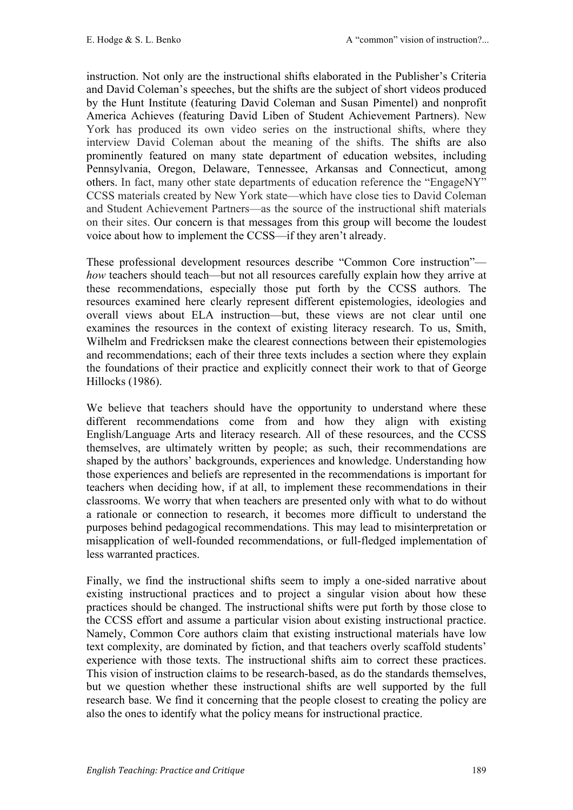instruction. Not only are the instructional shifts elaborated in the Publisher's Criteria and David Coleman's speeches, but the shifts are the subject of short videos produced by the Hunt Institute (featuring David Coleman and Susan Pimentel) and nonprofit America Achieves (featuring David Liben of Student Achievement Partners). New York has produced its own video series on the instructional shifts, where they interview David Coleman about the meaning of the shifts. The shifts are also prominently featured on many state department of education websites, including Pennsylvania, Oregon, Delaware, Tennessee, Arkansas and Connecticut, among others. In fact, many other state departments of education reference the "EngageNY" CCSS materials created by New York state—which have close ties to David Coleman and Student Achievement Partners—as the source of the instructional shift materials on their sites. Our concern is that messages from this group will become the loudest voice about how to implement the CCSS—if they aren't already.

These professional development resources describe "Common Core instruction" *how* teachers should teach—but not all resources carefully explain how they arrive at these recommendations, especially those put forth by the CCSS authors. The resources examined here clearly represent different epistemologies, ideologies and overall views about ELA instruction—but, these views are not clear until one examines the resources in the context of existing literacy research. To us, Smith, Wilhelm and Fredricksen make the clearest connections between their epistemologies and recommendations; each of their three texts includes a section where they explain the foundations of their practice and explicitly connect their work to that of George Hillocks (1986).

We believe that teachers should have the opportunity to understand where these different recommendations come from and how they align with existing English/Language Arts and literacy research. All of these resources, and the CCSS themselves, are ultimately written by people; as such, their recommendations are shaped by the authors' backgrounds, experiences and knowledge. Understanding how those experiences and beliefs are represented in the recommendations is important for teachers when deciding how, if at all, to implement these recommendations in their classrooms. We worry that when teachers are presented only with what to do without a rationale or connection to research, it becomes more difficult to understand the purposes behind pedagogical recommendations. This may lead to misinterpretation or misapplication of well-founded recommendations, or full-fledged implementation of less warranted practices.

Finally, we find the instructional shifts seem to imply a one-sided narrative about existing instructional practices and to project a singular vision about how these practices should be changed. The instructional shifts were put forth by those close to the CCSS effort and assume a particular vision about existing instructional practice. Namely, Common Core authors claim that existing instructional materials have low text complexity, are dominated by fiction, and that teachers overly scaffold students' experience with those texts. The instructional shifts aim to correct these practices. This vision of instruction claims to be research-based, as do the standards themselves, but we question whether these instructional shifts are well supported by the full research base. We find it concerning that the people closest to creating the policy are also the ones to identify what the policy means for instructional practice.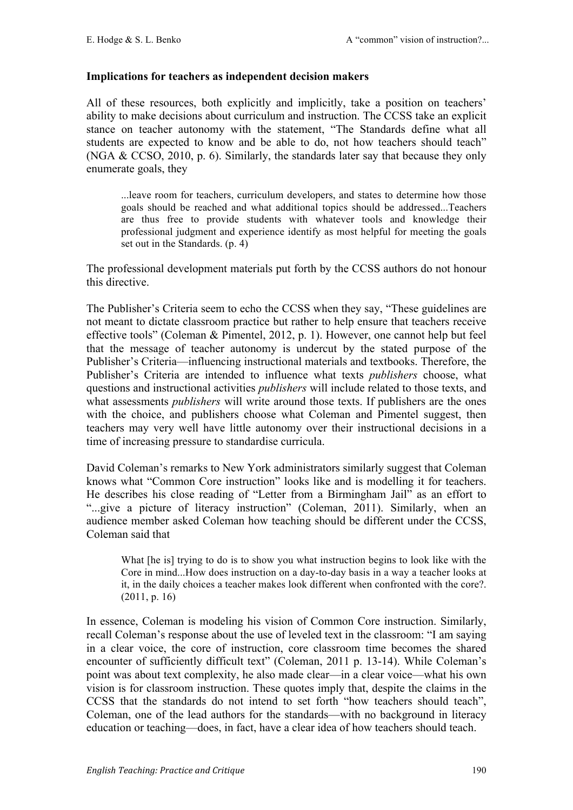#### **Implications for teachers as independent decision makers**

All of these resources, both explicitly and implicitly, take a position on teachers' ability to make decisions about curriculum and instruction. The CCSS take an explicit stance on teacher autonomy with the statement, "The Standards define what all students are expected to know and be able to do, not how teachers should teach" (NGA & CCSO, 2010, p. 6). Similarly, the standards later say that because they only enumerate goals, they

...leave room for teachers, curriculum developers, and states to determine how those goals should be reached and what additional topics should be addressed...Teachers are thus free to provide students with whatever tools and knowledge their professional judgment and experience identify as most helpful for meeting the goals set out in the Standards. (p. 4)

The professional development materials put forth by the CCSS authors do not honour this directive.

The Publisher's Criteria seem to echo the CCSS when they say, "These guidelines are not meant to dictate classroom practice but rather to help ensure that teachers receive effective tools" (Coleman & Pimentel, 2012, p. 1). However, one cannot help but feel that the message of teacher autonomy is undercut by the stated purpose of the Publisher's Criteria—influencing instructional materials and textbooks. Therefore, the Publisher's Criteria are intended to influence what texts *publishers* choose, what questions and instructional activities *publishers* will include related to those texts, and what assessments *publishers* will write around those texts. If publishers are the ones with the choice, and publishers choose what Coleman and Pimentel suggest, then teachers may very well have little autonomy over their instructional decisions in a time of increasing pressure to standardise curricula.

David Coleman's remarks to New York administrators similarly suggest that Coleman knows what "Common Core instruction" looks like and is modelling it for teachers. He describes his close reading of "Letter from a Birmingham Jail" as an effort to "...give a picture of literacy instruction" (Coleman, 2011). Similarly, when an audience member asked Coleman how teaching should be different under the CCSS, Coleman said that

What [he is] trying to do is to show you what instruction begins to look like with the Core in mind...How does instruction on a day-to-day basis in a way a teacher looks at it, in the daily choices a teacher makes look different when confronted with the core?. (2011, p. 16)

In essence, Coleman is modeling his vision of Common Core instruction. Similarly, recall Coleman's response about the use of leveled text in the classroom: "I am saying in a clear voice, the core of instruction, core classroom time becomes the shared encounter of sufficiently difficult text" (Coleman, 2011 p. 13-14). While Coleman's point was about text complexity, he also made clear—in a clear voice—what his own vision is for classroom instruction. These quotes imply that, despite the claims in the CCSS that the standards do not intend to set forth "how teachers should teach", Coleman, one of the lead authors for the standards—with no background in literacy education or teaching—does, in fact, have a clear idea of how teachers should teach.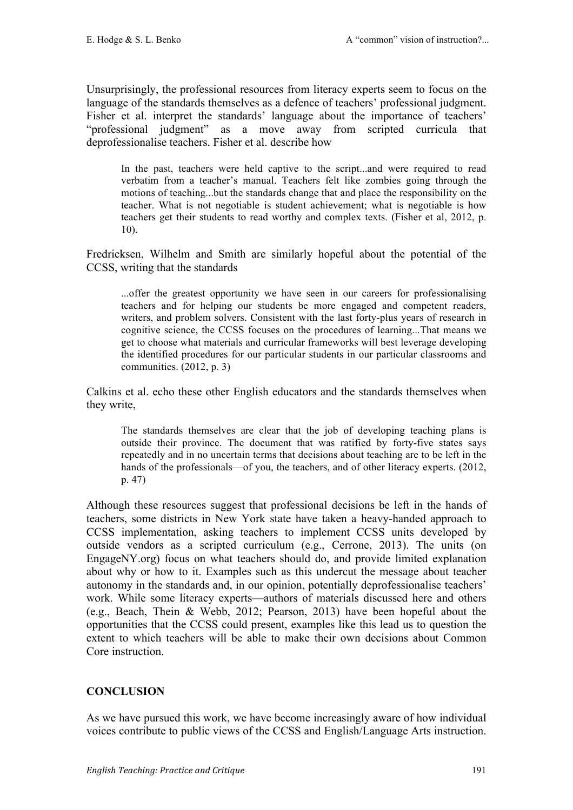Unsurprisingly, the professional resources from literacy experts seem to focus on the language of the standards themselves as a defence of teachers' professional judgment. Fisher et al. interpret the standards' language about the importance of teachers' "professional judgment" as a move away from scripted curricula that deprofessionalise teachers. Fisher et al. describe how

In the past, teachers were held captive to the script...and were required to read verbatim from a teacher's manual. Teachers felt like zombies going through the motions of teaching...but the standards change that and place the responsibility on the teacher. What is not negotiable is student achievement; what is negotiable is how teachers get their students to read worthy and complex texts. (Fisher et al, 2012, p. 10).

Fredricksen, Wilhelm and Smith are similarly hopeful about the potential of the CCSS, writing that the standards

...offer the greatest opportunity we have seen in our careers for professionalising teachers and for helping our students be more engaged and competent readers, writers, and problem solvers. Consistent with the last forty-plus years of research in cognitive science, the CCSS focuses on the procedures of learning...That means we get to choose what materials and curricular frameworks will best leverage developing the identified procedures for our particular students in our particular classrooms and communities. (2012, p. 3)

Calkins et al. echo these other English educators and the standards themselves when they write,

The standards themselves are clear that the job of developing teaching plans is outside their province. The document that was ratified by forty-five states says repeatedly and in no uncertain terms that decisions about teaching are to be left in the hands of the professionals—of you, the teachers, and of other literacy experts. (2012, p. 47)

Although these resources suggest that professional decisions be left in the hands of teachers, some districts in New York state have taken a heavy-handed approach to CCSS implementation, asking teachers to implement CCSS units developed by outside vendors as a scripted curriculum (e.g., Cerrone, 2013). The units (on EngageNY.org) focus on what teachers should do, and provide limited explanation about why or how to it. Examples such as this undercut the message about teacher autonomy in the standards and, in our opinion, potentially deprofessionalise teachers' work. While some literacy experts—authors of materials discussed here and others (e.g., Beach, Thein & Webb, 2012; Pearson, 2013) have been hopeful about the opportunities that the CCSS could present, examples like this lead us to question the extent to which teachers will be able to make their own decisions about Common Core instruction.

## **CONCLUSION**

As we have pursued this work, we have become increasingly aware of how individual voices contribute to public views of the CCSS and English/Language Arts instruction.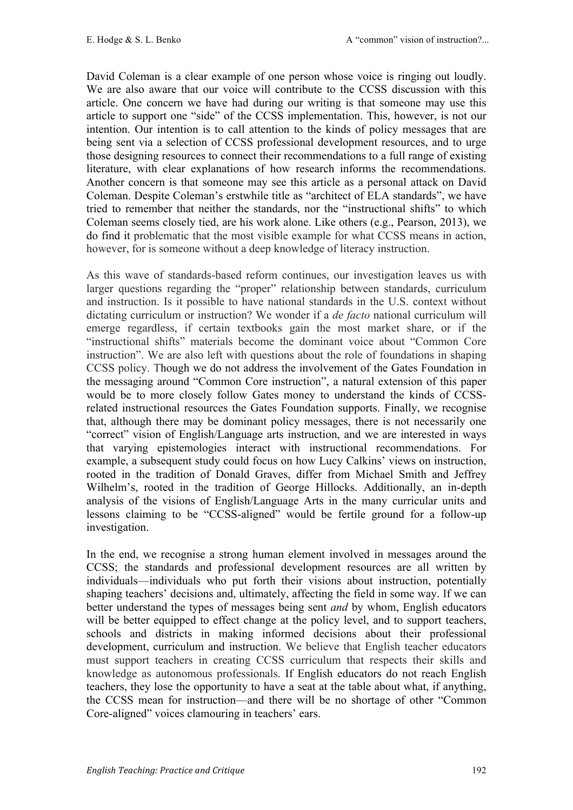David Coleman is a clear example of one person whose voice is ringing out loudly. We are also aware that our voice will contribute to the CCSS discussion with this article. One concern we have had during our writing is that someone may use this article to support one "side" of the CCSS implementation. This, however, is not our intention. Our intention is to call attention to the kinds of policy messages that are being sent via a selection of CCSS professional development resources, and to urge those designing resources to connect their recommendations to a full range of existing literature, with clear explanations of how research informs the recommendations. Another concern is that someone may see this article as a personal attack on David Coleman. Despite Coleman's erstwhile title as "architect of ELA standards", we have tried to remember that neither the standards, nor the "instructional shifts" to which Coleman seems closely tied, are his work alone. Like others (e.g., Pearson, 2013), we do find it problematic that the most visible example for what CCSS means in action, however, for is someone without a deep knowledge of literacy instruction.

As this wave of standards-based reform continues, our investigation leaves us with larger questions regarding the "proper" relationship between standards, curriculum and instruction. Is it possible to have national standards in the U.S. context without dictating curriculum or instruction? We wonder if a *de facto* national curriculum will emerge regardless, if certain textbooks gain the most market share, or if the "instructional shifts" materials become the dominant voice about "Common Core instruction". We are also left with questions about the role of foundations in shaping CCSS policy. Though we do not address the involvement of the Gates Foundation in the messaging around "Common Core instruction", a natural extension of this paper would be to more closely follow Gates money to understand the kinds of CCSSrelated instructional resources the Gates Foundation supports. Finally, we recognise that, although there may be dominant policy messages, there is not necessarily one "correct" vision of English/Language arts instruction, and we are interested in ways that varying epistemologies interact with instructional recommendations. For example, a subsequent study could focus on how Lucy Calkins' views on instruction, rooted in the tradition of Donald Graves, differ from Michael Smith and Jeffrey Wilhelm's, rooted in the tradition of George Hillocks. Additionally, an in-depth analysis of the visions of English/Language Arts in the many curricular units and lessons claiming to be "CCSS-aligned" would be fertile ground for a follow-up investigation.

In the end, we recognise a strong human element involved in messages around the CCSS; the standards and professional development resources are all written by individuals—individuals who put forth their visions about instruction, potentially shaping teachers' decisions and, ultimately, affecting the field in some way. If we can better understand the types of messages being sent *and* by whom, English educators will be better equipped to effect change at the policy level, and to support teachers, schools and districts in making informed decisions about their professional development, curriculum and instruction. We believe that English teacher educators must support teachers in creating CCSS curriculum that respects their skills and knowledge as autonomous professionals. If English educators do not reach English teachers, they lose the opportunity to have a seat at the table about what, if anything, the CCSS mean for instruction—and there will be no shortage of other "Common Core-aligned" voices clamouring in teachers' ears.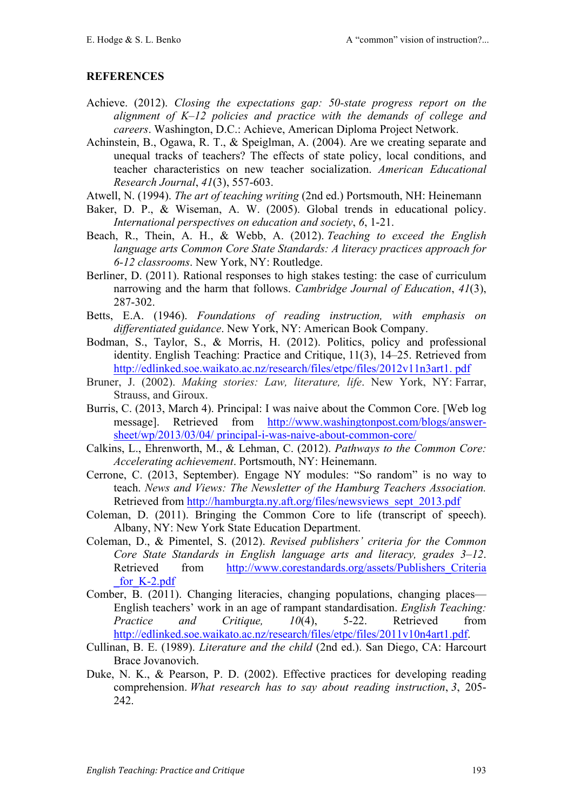## **REFERENCES**

- Achieve. (2012). *Closing the expectations gap: 50-state progress report on the alignment of K–12 policies and practice with the demands of college and careers*. Washington, D.C.: Achieve, American Diploma Project Network.
- Achinstein, B., Ogawa, R. T., & Speiglman, A. (2004). Are we creating separate and unequal tracks of teachers? The effects of state policy, local conditions, and teacher characteristics on new teacher socialization. *American Educational Research Journal*, *41*(3), 557-603.
- Atwell, N. (1994). *The art of teaching writing* (2nd ed.) Portsmouth, NH: Heinemann
- Baker, D. P., & Wiseman, A. W. (2005). Global trends in educational policy. *International perspectives on education and society*, *6*, 1-21.
- Beach, R., Thein, A. H., & Webb, A. (2012). *Teaching to exceed the English language arts Common Core State Standards: A literacy practices approach for 6-12 classrooms*. New York, NY: Routledge.
- Berliner, D. (2011). Rational responses to high stakes testing: the case of curriculum narrowing and the harm that follows. *Cambridge Journal of Education*, *41*(3), 287-302.
- Betts, E.A. (1946). *Foundations of reading instruction, with emphasis on differentiated guidance*. New York, NY: American Book Company.
- Bodman, S., Taylor, S., & Morris, H. (2012). Politics, policy and professional identity. English Teaching: Practice and Critique, 11(3), 14–25. Retrieved from http://edlinked.soe.waikato.ac.nz/research/files/etpc/files/2012v11n3art1. pdf
- Bruner, J. (2002). *Making stories: Law, literature, life*. New York, NY: Farrar, Strauss, and Giroux.
- Burris, C. (2013, March 4). Principal: I was naive about the Common Core. [Web log message]. Retrieved from http://www.washingtonpost.com/blogs/answersheet/wp/2013/03/04/ principal-i-was-naive-about-common-core/
- Calkins, L., Ehrenworth, M., & Lehman, C. (2012). *Pathways to the Common Core: Accelerating achievement*. Portsmouth, NY: Heinemann.
- Cerrone, C. (2013, September). Engage NY modules: "So random" is no way to teach. *News and Views: The Newsletter of the Hamburg Teachers Association.* Retrieved from http://hamburgta.ny.aft.org/files/newsviews\_sept\_2013.pdf
- Coleman, D. (2011). Bringing the Common Core to life (transcript of speech). Albany, NY: New York State Education Department.
- Coleman, D., & Pimentel, S. (2012). *Revised publishers' criteria for the Common Core State Standards in English language arts and literacy, grades 3–12*. Retrieved from http://www.corestandards.org/assets/Publishers Criteria for K-2.pdf
- Comber, B. (2011). Changing literacies, changing populations, changing places— English teachers' work in an age of rampant standardisation. *English Teaching: Practice and Critique, 10*(4), 5-22. Retrieved from http://edlinked.soe.waikato.ac.nz/research/files/etpc/files/2011v10n4art1.pdf.
- Cullinan, B. E. (1989). *Literature and the child* (2nd ed.). San Diego, CA: Harcourt Brace Jovanovich.
- Duke, N. K., & Pearson, P. D. (2002). Effective practices for developing reading comprehension. *What research has to say about reading instruction*, *3*, 205- 242.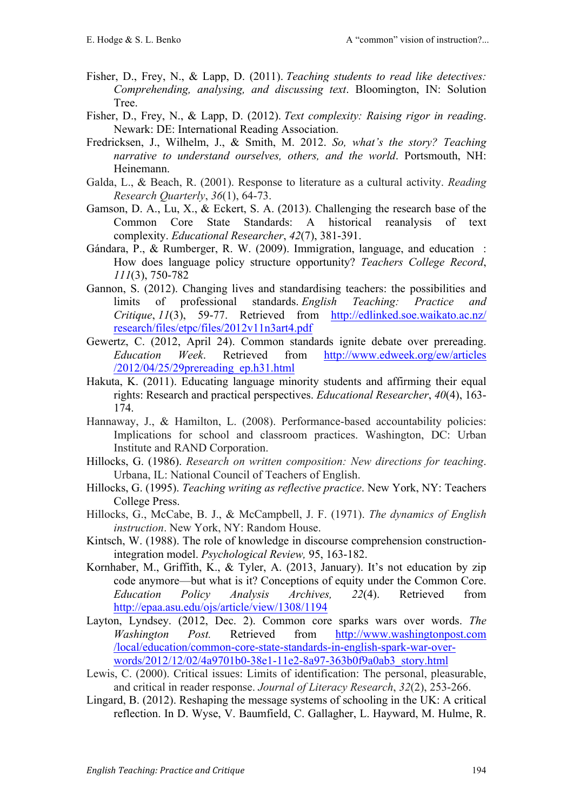- Fisher, D., Frey, N., & Lapp, D. (2011). *Teaching students to read like detectives: Comprehending, analysing, and discussing text*. Bloomington, IN: Solution **Tree**.
- Fisher, D., Frey, N., & Lapp, D. (2012). *Text complexity: Raising rigor in reading*. Newark: DE: International Reading Association.
- Fredricksen, J., Wilhelm, J., & Smith, M. 2012. *So, what's the story? Teaching narrative to understand ourselves, others, and the world*. Portsmouth, NH: Heinemann.
- Galda, L., & Beach, R. (2001). Response to literature as a cultural activity. *Reading Research Quarterly*, *36*(1), 64-73.
- Gamson, D. A., Lu, X., & Eckert, S. A. (2013). Challenging the research base of the Common Core State Standards: A historical reanalysis of text complexity. *Educational Researcher*, *42*(7), 381-391.
- Gándara, P., & Rumberger, R. W. (2009). Immigration, language, and education: How does language policy structure opportunity? *Teachers College Record*, *111*(3), 750-782
- Gannon, S. (2012). Changing lives and standardising teachers: the possibilities and limits of professional standards. *English Teaching: Practice and Critique*, *11*(3), 59-77. Retrieved from http://edlinked.soe.waikato.ac.nz/ research/files/etpc/files/2012v11n3art4.pdf
- Gewertz, C. (2012, April 24). Common standards ignite debate over prereading. *Education Week*. Retrieved from http://www.edweek.org/ew/articles /2012/04/25/29prereading\_ep.h31.html
- Hakuta, K. (2011). Educating language minority students and affirming their equal rights: Research and practical perspectives. *Educational Researcher*, *40*(4), 163- 174.
- Hannaway, J., & Hamilton, L. (2008). Performance-based accountability policies: Implications for school and classroom practices. Washington, DC: Urban Institute and RAND Corporation.
- Hillocks, G. (1986). *Research on written composition: New directions for teaching*. Urbana, IL: National Council of Teachers of English.
- Hillocks, G. (1995). *Teaching writing as reflective practice*. New York, NY: Teachers College Press.
- Hillocks, G., McCabe, B. J., & McCampbell, J. F. (1971). *The dynamics of English instruction*. New York, NY: Random House.
- Kintsch, W. (1988). The role of knowledge in discourse comprehension constructionintegration model. *Psychological Review,* 95, 163-182.
- Kornhaber, M., Griffith, K., & Tyler, A. (2013, January). It's not education by zip code anymore—but what is it? Conceptions of equity under the Common Core. *Education Policy Analysis Archives, 22*(4). Retrieved from http://epaa.asu.edu/ojs/article/view/1308/1194
- Layton, Lyndsey. (2012, Dec. 2). Common core sparks wars over words. *The Washington Post.* Retrieved from http://www.washingtonpost.com /local/education/common-core-state-standards-in-english-spark-war-overwords/2012/12/02/4a9701b0-38e1-11e2-8a97-363b0f9a0ab3\_story.html
- Lewis, C. (2000). Critical issues: Limits of identification: The personal, pleasurable, and critical in reader response. *Journal of Literacy Research*, *32*(2), 253-266.
- Lingard, B. (2012). Reshaping the message systems of schooling in the UK: A critical reflection. In D. Wyse, V. Baumfield, C. Gallagher, L. Hayward, M. Hulme, R.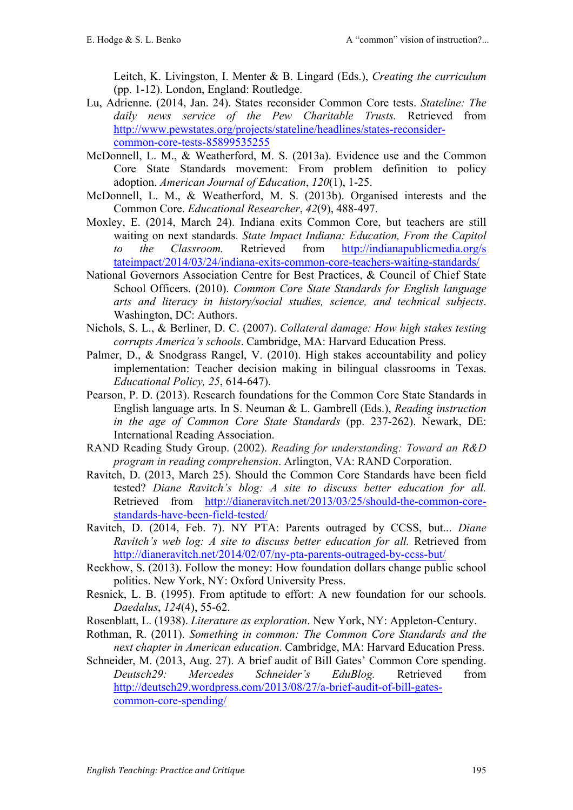Leitch, K. Livingston, I. Menter & B. Lingard (Eds.), *Creating the curriculum*  (pp. 1-12). London, England: Routledge.

- Lu, Adrienne. (2014, Jan. 24). States reconsider Common Core tests. *Stateline: The daily news service of the Pew Charitable Trusts.* Retrieved from http://www.pewstates.org/projects/stateline/headlines/states-reconsidercommon-core-tests-85899535255
- McDonnell, L. M., & Weatherford, M. S. (2013a). Evidence use and the Common Core State Standards movement: From problem definition to policy adoption. *American Journal of Education*, *120*(1), 1-25.
- McDonnell, L. M., & Weatherford, M. S. (2013b). Organised interests and the Common Core. *Educational Researcher*, *42*(9), 488-497.
- Moxley, E. (2014, March 24). Indiana exits Common Core, but teachers are still waiting on next standards. *State Impact Indiana: Education, From the Capitol to the Classroom.* Retrieved from http://indianapublicmedia.org/s tateimpact/2014/03/24/indiana-exits-common-core-teachers-waiting-standards/
- National Governors Association Centre for Best Practices, & Council of Chief State School Officers. (2010). *Common Core State Standards for English language arts and literacy in history/social studies, science, and technical subjects*. Washington, DC: Authors.
- Nichols, S. L., & Berliner, D. C. (2007). *Collateral damage: How high stakes testing corrupts America's schools*. Cambridge, MA: Harvard Education Press.
- Palmer, D., & Snodgrass Rangel, V. (2010). High stakes accountability and policy implementation: Teacher decision making in bilingual classrooms in Texas. *Educational Policy, 25*, 614-647).
- Pearson, P. D. (2013). Research foundations for the Common Core State Standards in English language arts. In S. Neuman & L. Gambrell (Eds.), *Reading instruction in the age of Common Core State Standards* (pp. 237-262). Newark, DE: International Reading Association.
- RAND Reading Study Group. (2002). *Reading for understanding: Toward an R&D program in reading comprehension*. Arlington, VA: RAND Corporation.
- Ravitch, D. (2013, March 25). Should the Common Core Standards have been field tested? *Diane Ravitch's blog: A site to discuss better education for all.*  Retrieved from http://dianeravitch.net/2013/03/25/should-the-common-corestandards-have-been-field-tested/
- Ravitch, D. (2014, Feb. 7). NY PTA: Parents outraged by CCSS, but... *Diane Ravitch's web log: A site to discuss better education for all. Retrieved from* http://dianeravitch.net/2014/02/07/ny-pta-parents-outraged-by-ccss-but/
- Reckhow, S. (2013). Follow the money: How foundation dollars change public school politics. New York, NY: Oxford University Press.
- Resnick, L. B. (1995). From aptitude to effort: A new foundation for our schools. *Daedalus*, *124*(4), 55-62.
- Rosenblatt, L. (1938). *Literature as exploration*. New York, NY: Appleton-Century.
- Rothman, R. (2011). *Something in common: The Common Core Standards and the next chapter in American education*. Cambridge, MA: Harvard Education Press.
- Schneider, M. (2013, Aug. 27). A brief audit of Bill Gates' Common Core spending. *Deutsch29: Mercedes Schneider's EduBlog.* Retrieved from http://deutsch29.wordpress.com/2013/08/27/a-brief-audit-of-bill-gatescommon-core-spending/